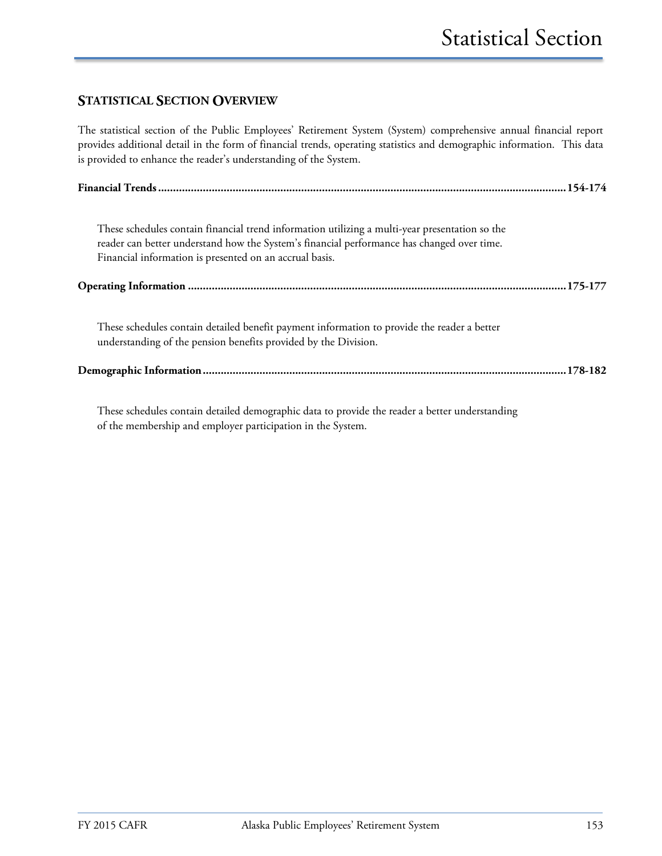## **STATISTICAL SECTION OVERVIEW**

The statistical section of the Public Employees' Retirement System (System) comprehensive annual financial report provides additional detail in the form of financial trends, operating statistics and demographic information. This data is provided to enhance the reader's understanding of the System.

| These schedules contain financial trend information utilizing a multi-year presentation so the<br>reader can better understand how the System's financial performance has changed over time.<br>Financial information is presented on an accrual basis. |
|---------------------------------------------------------------------------------------------------------------------------------------------------------------------------------------------------------------------------------------------------------|
|                                                                                                                                                                                                                                                         |
| These schedules contain detailed benefit payment information to provide the reader a better<br>understanding of the pension benefits provided by the Division.                                                                                          |
|                                                                                                                                                                                                                                                         |

These schedules contain detailed demographic data to provide the reader a better understanding of the membership and employer participation in the System.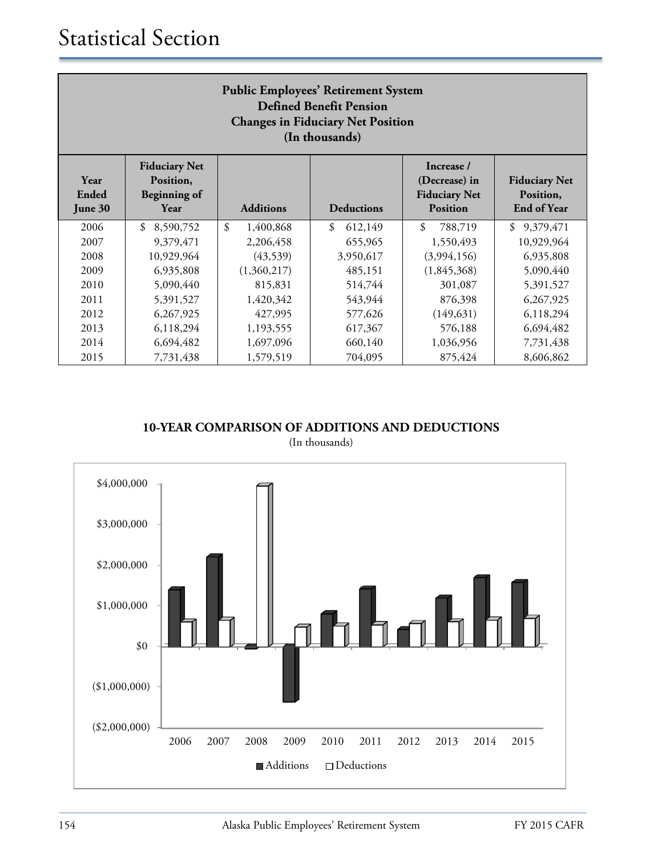| <b>Public Employees' Retirement System</b><br><b>Defined Benefit Pension</b><br><b>Changes in Fiduciary Net Position</b><br>(In thousands)                                                                      |                                                           |                 |               |               |                                                         |  |  |
|-----------------------------------------------------------------------------------------------------------------------------------------------------------------------------------------------------------------|-----------------------------------------------------------|-----------------|---------------|---------------|---------------------------------------------------------|--|--|
| <b>Fiduciary Net</b><br>Increase /<br>Year<br>Position,<br>(Decrease) in<br>Ended<br><b>Beginning of</b><br><b>Fiduciary Net</b><br><b>Additions</b><br><b>Deductions</b><br><b>Position</b><br>June 30<br>Year |                                                           |                 |               |               | <b>Fiduciary Net</b><br>Position,<br><b>End of Year</b> |  |  |
| 2006                                                                                                                                                                                                            | \$<br>8,590,752                                           | \$<br>1,400,868 | 612,149<br>\$ | \$<br>788,719 | \$9,379,471                                             |  |  |
| 2007                                                                                                                                                                                                            | 9,379,471                                                 | 2,206,458       | 655,965       | 1,550,493     | 10,929,964                                              |  |  |
| 2008                                                                                                                                                                                                            | 10,929,964                                                | (43,539)        | 3,950,617     | (3,994,156)   | 6,935,808                                               |  |  |
| 2009                                                                                                                                                                                                            | 6,935,808                                                 | (1,360,217)     | 485,151       | (1,845,368)   | 5,090,440                                               |  |  |
| 2010                                                                                                                                                                                                            | 5,090,440                                                 | 815,831         | 514,744       | 301,087       | 5,391,527                                               |  |  |
| 2011                                                                                                                                                                                                            | 5,391,527                                                 | 1,420,342       | 543,944       | 876,398       | 6,267,925                                               |  |  |
| 2012                                                                                                                                                                                                            | 6,267,925                                                 | 427,995         | 577,626       | (149, 631)    | 6,118,294                                               |  |  |
| 2013                                                                                                                                                                                                            | 6,118,294<br>617,367<br>576,188<br>6,694,482<br>1,193,555 |                 |               |               |                                                         |  |  |
| 2014                                                                                                                                                                                                            | 6,694,482                                                 | 1,697,096       | 660,140       | 1,036,956     | 7,731,438                                               |  |  |
| 2015                                                                                                                                                                                                            | 7,731,438                                                 | 1,579,519       | 704,095       | 875,424       | 8,606,862                                               |  |  |

# **10-YEAR COMPARISON OF ADDITIONS AND DEDUCTIONS**

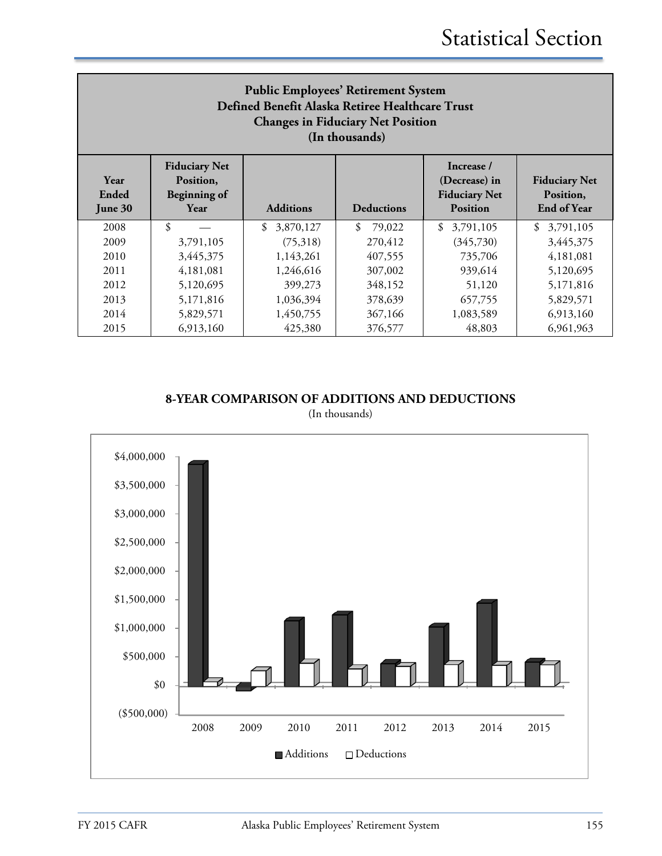| <b>Public Employees' Retirement System</b><br>Defined Benefit Alaska Retiree Healthcare Trust<br><b>Changes in Fiduciary Net Position</b><br>(In thousands)                                                                                                                |                                                           |                 |              |                 |                 |  |  |
|----------------------------------------------------------------------------------------------------------------------------------------------------------------------------------------------------------------------------------------------------------------------------|-----------------------------------------------------------|-----------------|--------------|-----------------|-----------------|--|--|
| <b>Fiduciary Net</b><br>Increase /<br>Year<br>(Decrease) in<br><b>Fiduciary Net</b><br>Position,<br>Ended<br><b>Beginning of</b><br><b>Fiduciary Net</b><br>Position,<br><b>Additions</b><br><b>Deductions</b><br><b>End of Year</b><br>Year<br><b>Position</b><br>June 30 |                                                           |                 |              |                 |                 |  |  |
| 2008                                                                                                                                                                                                                                                                       | $\mathcal{S}$                                             | \$<br>3,870,127 | \$<br>79,022 | \$<br>3,791,105 | \$<br>3,791,105 |  |  |
| 2009                                                                                                                                                                                                                                                                       | 3,791,105                                                 | (75,318)        | 270,412      | (345,730)       | 3,445,375       |  |  |
| 2010                                                                                                                                                                                                                                                                       | 3,445,375                                                 | 1,143,261       | 407,555      | 735,706         | 4,181,081       |  |  |
| 2011                                                                                                                                                                                                                                                                       | 4,181,081                                                 | 1,246,616       | 307,002      | 939,614         | 5,120,695       |  |  |
| 2012                                                                                                                                                                                                                                                                       | 5,120,695                                                 | 399,273         | 348,152      | 51,120          | 5,171,816       |  |  |
| 2013                                                                                                                                                                                                                                                                       | 657,755<br>5,171,816<br>1,036,394<br>378,639<br>5,829,571 |                 |              |                 |                 |  |  |
| 2014                                                                                                                                                                                                                                                                       | 5,829,571                                                 | 1,450,755       | 367,166      | 1,083,589       | 6,913,160       |  |  |
| 2015                                                                                                                                                                                                                                                                       | 6,913,160                                                 | 425,380         | 376,577      | 48,803          | 6,961,963       |  |  |

# **8-YEAR COMPARISON OF ADDITIONS AND DEDUCTIONS**

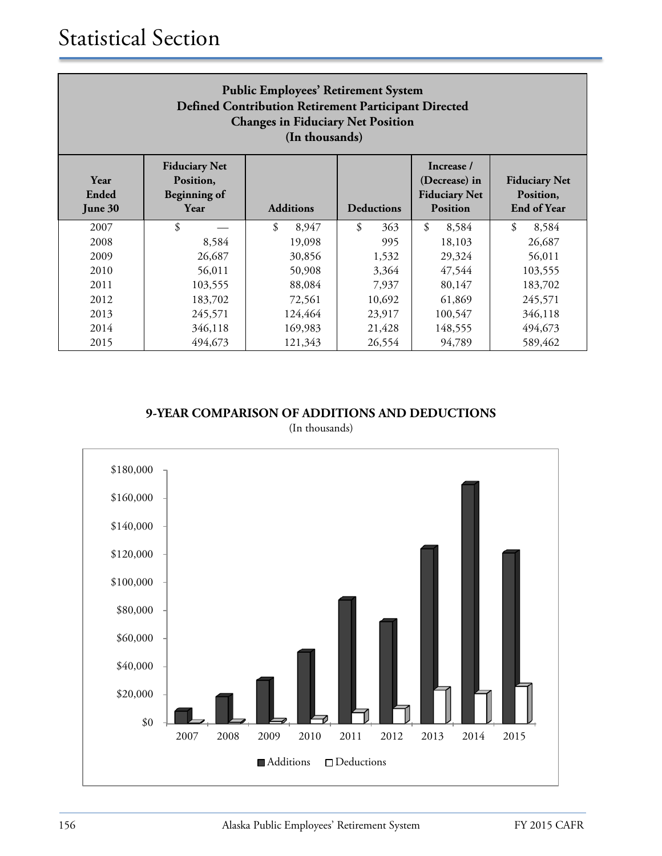| <b>Public Employees' Retirement System</b><br><b>Defined Contribution Retirement Participant Directed</b><br><b>Changes in Fiduciary Net Position</b><br>(In thousands) |                                                                  |                  |                   |                                                                        |                                                  |  |  |
|-------------------------------------------------------------------------------------------------------------------------------------------------------------------------|------------------------------------------------------------------|------------------|-------------------|------------------------------------------------------------------------|--------------------------------------------------|--|--|
| Year<br>Ended<br>June 30                                                                                                                                                | <b>Fiduciary Net</b><br>Position,<br><b>Beginning of</b><br>Year | <b>Additions</b> | <b>Deductions</b> | Increase /<br>(Decrease) in<br><b>Fiduciary Net</b><br><b>Position</b> | <b>Fiduciary Net</b><br>Position,<br>End of Year |  |  |
| 2007                                                                                                                                                                    | \$                                                               | \$<br>8.947      | \$<br>363         | \$<br>8,584                                                            | \$<br>8,584                                      |  |  |
| 2008                                                                                                                                                                    | 8,584                                                            | 19,098           | 995               | 18,103                                                                 | 26,687                                           |  |  |
| 2009                                                                                                                                                                    | 26,687                                                           | 30,856           | 1,532             | 29,324                                                                 | 56,011                                           |  |  |
| 2010                                                                                                                                                                    | 56,011                                                           | 50,908           | 3,364             | 47,544                                                                 | 103,555                                          |  |  |
| 2011                                                                                                                                                                    | 103,555                                                          | 88,084           | 7,937             | 80,147                                                                 | 183,702                                          |  |  |
| 2012                                                                                                                                                                    | 183,702                                                          | 72,561           | 10,692            | 61,869                                                                 | 245,571                                          |  |  |
| 2013                                                                                                                                                                    | 245,571                                                          | 124,464          | 23,917            | 100,547                                                                | 346,118                                          |  |  |
| 2014                                                                                                                                                                    | 346,118                                                          | 169,983          | 21,428            | 148,555                                                                | 494,673                                          |  |  |
| 2015                                                                                                                                                                    | 494,673                                                          | 121,343          | 26,554            | 94,789                                                                 | 589,462                                          |  |  |

## **9-YEAR COMPARISON OF ADDITIONS AND DEDUCTIONS** (In thousands)

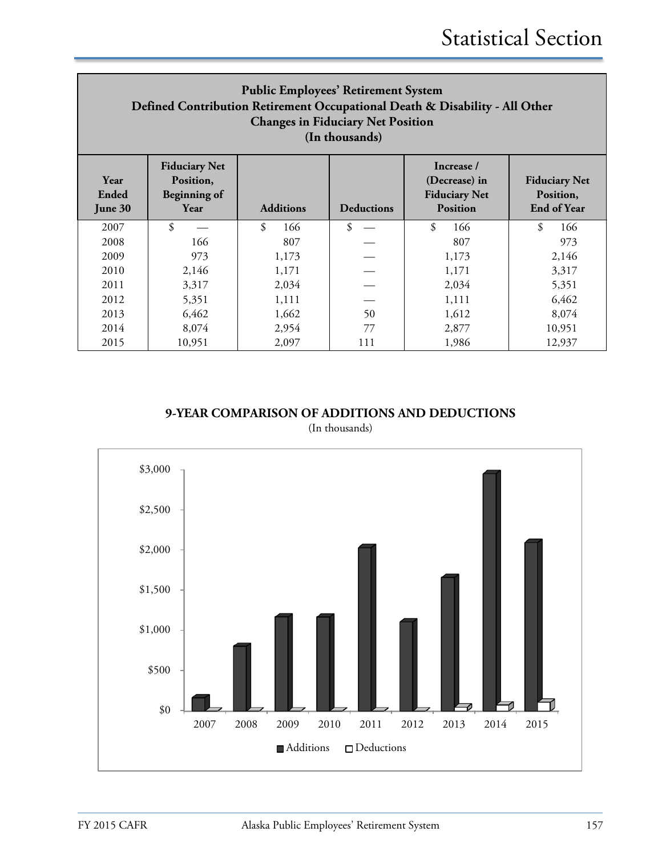| <b>Public Employees' Retirement System</b><br>Defined Contribution Retirement Occupational Death & Disability - All Other<br><b>Changes in Fiduciary Net Position</b><br>(In thousands) |                                                                        |                                                         |     |           |           |  |  |
|-----------------------------------------------------------------------------------------------------------------------------------------------------------------------------------------|------------------------------------------------------------------------|---------------------------------------------------------|-----|-----------|-----------|--|--|
| Year<br>Ended<br>June 30                                                                                                                                                                | Increase /<br>(Decrease) in<br><b>Fiduciary Net</b><br><b>Position</b> | <b>Fiduciary Net</b><br>Position,<br><b>End of Year</b> |     |           |           |  |  |
| 2007                                                                                                                                                                                    | \$                                                                     | \$<br>166                                               | \$  | \$<br>166 | \$<br>166 |  |  |
| 2008                                                                                                                                                                                    | 166                                                                    | 807                                                     |     | 807       | 973       |  |  |
| 2009                                                                                                                                                                                    | 973                                                                    | 1,173                                                   |     | 1,173     | 2,146     |  |  |
| 2010                                                                                                                                                                                    | 2,146                                                                  | 1,171                                                   |     | 1,171     | 3,317     |  |  |
| 2011                                                                                                                                                                                    | 3,317                                                                  | 2,034                                                   |     | 2,034     | 5,351     |  |  |
| 2012                                                                                                                                                                                    | 5,351                                                                  | 1,111                                                   |     | 1,111     | 6,462     |  |  |
| 2013                                                                                                                                                                                    | 6,462<br>1,662<br>50<br>1,612<br>8,074                                 |                                                         |     |           |           |  |  |
| 2014                                                                                                                                                                                    | 8,074                                                                  | 2,954                                                   | 77  | 2,877     | 10,951    |  |  |
| 2015                                                                                                                                                                                    | 10,951                                                                 | 2,097                                                   | 111 | 1,986     | 12,937    |  |  |

## **9-YEAR COMPARISON OF ADDITIONS AND DEDUCTIONS** (In thousands)

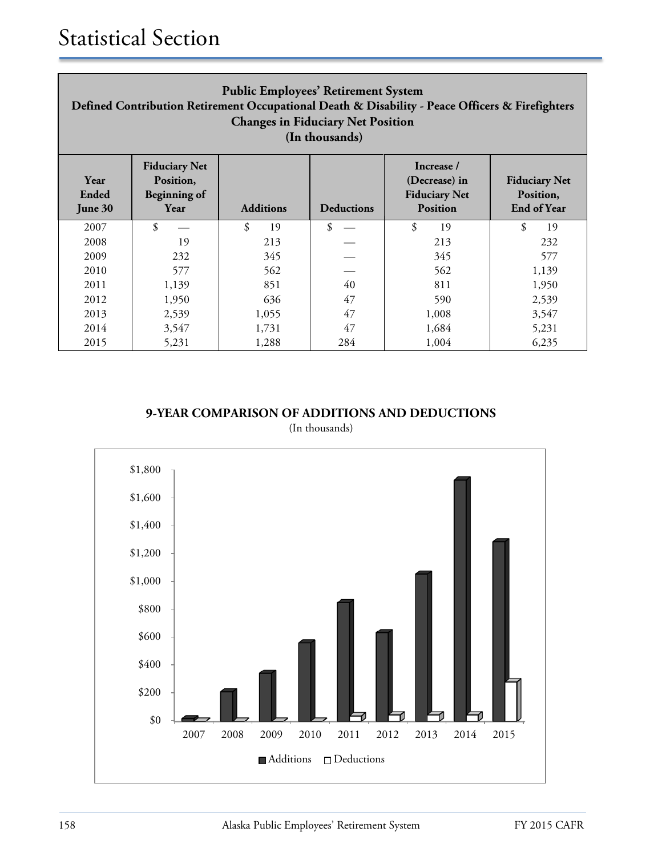| <b>Public Employees' Retirement System</b><br>Defined Contribution Retirement Occupational Death & Disability - Peace Officers & Firefighters<br><b>Changes in Fiduciary Net Position</b><br>(In thousands) |                                                                  |                  |                   |                                                                        |                                                         |  |  |
|-------------------------------------------------------------------------------------------------------------------------------------------------------------------------------------------------------------|------------------------------------------------------------------|------------------|-------------------|------------------------------------------------------------------------|---------------------------------------------------------|--|--|
| Year<br>Ended<br>June 30                                                                                                                                                                                    | <b>Fiduciary Net</b><br>Position,<br><b>Beginning of</b><br>Year | <b>Additions</b> | <b>Deductions</b> | Increase /<br>(Decrease) in<br><b>Fiduciary Net</b><br><b>Position</b> | <b>Fiduciary Net</b><br>Position,<br><b>End of Year</b> |  |  |
| 2007                                                                                                                                                                                                        | \$                                                               | \$<br>19         | \$                | \$<br>19                                                               | \$<br>19                                                |  |  |
| 2008                                                                                                                                                                                                        | 19                                                               | 213              |                   | 213                                                                    | 232                                                     |  |  |
| 2009                                                                                                                                                                                                        | 232                                                              | 345              |                   | 345                                                                    | 577                                                     |  |  |
| 2010                                                                                                                                                                                                        | 577                                                              | 562              |                   | 562                                                                    | 1,139                                                   |  |  |
| 2011                                                                                                                                                                                                        | 1,139                                                            | 851              | 40                | 811                                                                    | 1,950                                                   |  |  |
| 2012                                                                                                                                                                                                        | 1,950                                                            | 636              | 47                | 590                                                                    | 2,539                                                   |  |  |
| 2013                                                                                                                                                                                                        | 2,539                                                            | 1,055            | 47                | 1,008                                                                  | 3,547                                                   |  |  |
| 2014                                                                                                                                                                                                        | 3,547                                                            | 1,731            | 47                | 1,684                                                                  | 5,231                                                   |  |  |
| 2015                                                                                                                                                                                                        | 5,231                                                            | 1,288            | 284               | 1,004                                                                  | 6,235                                                   |  |  |

## **9-YEAR COMPARISON OF ADDITIONS AND DEDUCTIONS** (In thousands)

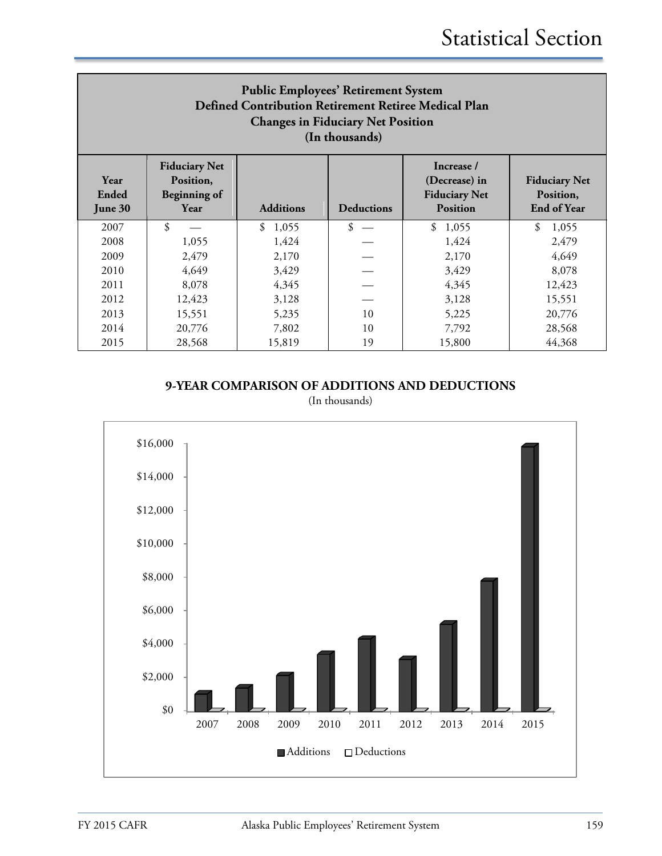| <b>Public Employees' Retirement System</b><br>Defined Contribution Retirement Retiree Medical Plan<br><b>Changes in Fiduciary Net Position</b><br>(In thousands) |                                                                                                                                                                                                                                                |                          |    |         |             |  |  |
|------------------------------------------------------------------------------------------------------------------------------------------------------------------|------------------------------------------------------------------------------------------------------------------------------------------------------------------------------------------------------------------------------------------------|--------------------------|----|---------|-------------|--|--|
| Year<br>Ended<br>June 30                                                                                                                                         | <b>Fiduciary Net</b><br>Increase /<br>(Decrease) in<br><b>Fiduciary Net</b><br>Position,<br><b>Fiduciary Net</b><br><b>Beginning of</b><br>Position,<br><b>Additions</b><br><b>End of Year</b><br><b>Deductions</b><br><b>Position</b><br>Year |                          |    |         |             |  |  |
| 2007                                                                                                                                                             | \$                                                                                                                                                                                                                                             | 1,055<br>$\mathcal{S}$   | \$ | \$1,055 | \$<br>1,055 |  |  |
| 2008                                                                                                                                                             | 1,055                                                                                                                                                                                                                                          | 1,424                    |    | 1,424   | 2,479       |  |  |
| 2009                                                                                                                                                             | 2,479                                                                                                                                                                                                                                          | 2,170                    |    | 2,170   | 4,649       |  |  |
| 2010                                                                                                                                                             | 4,649                                                                                                                                                                                                                                          | 3,429                    |    | 3,429   | 8,078       |  |  |
| 2011                                                                                                                                                             | 8,078                                                                                                                                                                                                                                          | 4,345                    |    | 4,345   | 12,423      |  |  |
| 2012                                                                                                                                                             | 12,423                                                                                                                                                                                                                                         | 3,128<br>15,551<br>3,128 |    |         |             |  |  |
| 2013                                                                                                                                                             | 15,551<br>5,235<br>10<br>20,776<br>5,225                                                                                                                                                                                                       |                          |    |         |             |  |  |
| 2014                                                                                                                                                             | 20,776                                                                                                                                                                                                                                         | 7,802                    | 10 | 7,792   | 28,568      |  |  |
| 2015                                                                                                                                                             | 28,568                                                                                                                                                                                                                                         | 15,819                   | 19 | 15,800  | 44,368      |  |  |

## **9-YEAR COMPARISON OF ADDITIONS AND DEDUCTIONS**

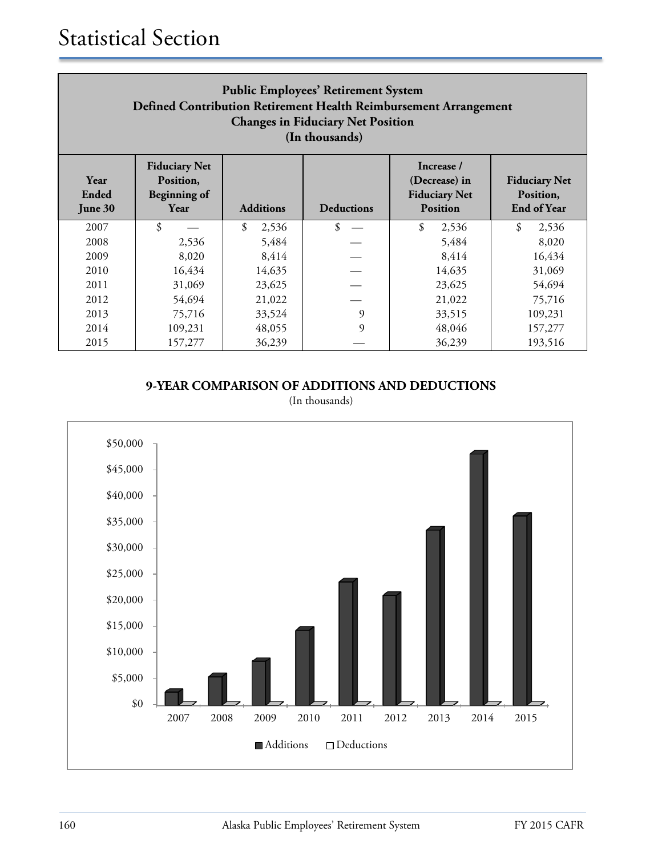| <b>Public Employees' Retirement System</b><br>Defined Contribution Retirement Health Reimbursement Arrangement<br><b>Changes in Fiduciary Net Position</b><br>(In thousands) |                                                                  |                  |                   |                                                                 |                                                         |  |  |  |
|------------------------------------------------------------------------------------------------------------------------------------------------------------------------------|------------------------------------------------------------------|------------------|-------------------|-----------------------------------------------------------------|---------------------------------------------------------|--|--|--|
| Year<br>Ended<br>June 30                                                                                                                                                     | <b>Fiduciary Net</b><br>Position,<br><b>Beginning of</b><br>Year | <b>Additions</b> | <b>Deductions</b> | Increase /<br>(Decrease) in<br><b>Fiduciary Net</b><br>Position | <b>Fiduciary Net</b><br>Position,<br><b>End of Year</b> |  |  |  |
| 2007                                                                                                                                                                         | \$                                                               | \$<br>2,536      | \$                | \$<br>2,536                                                     | \$<br>2,536                                             |  |  |  |
| 2008                                                                                                                                                                         | 2,536                                                            | 5,484            |                   | 5,484                                                           | 8,020                                                   |  |  |  |
| 2009                                                                                                                                                                         | 8,020                                                            | 8,414            |                   | 8,414                                                           | 16,434                                                  |  |  |  |
| 2010                                                                                                                                                                         | 16,434                                                           | 14,635           |                   | 14,635                                                          | 31,069                                                  |  |  |  |
| 2011                                                                                                                                                                         | 31,069                                                           | 23,625           |                   | 23,625                                                          | 54,694                                                  |  |  |  |
| 2012                                                                                                                                                                         | 54,694                                                           | 21,022           |                   | 21,022                                                          | 75,716                                                  |  |  |  |
| 2013                                                                                                                                                                         | 9<br>75,716<br>33,524<br>33,515<br>109,231                       |                  |                   |                                                                 |                                                         |  |  |  |
| 2014                                                                                                                                                                         | 109,231                                                          | 48,055           | 9                 | 48,046                                                          | 157,277                                                 |  |  |  |
| 2015                                                                                                                                                                         | 157,277                                                          | 36,239           |                   | 36,239                                                          | 193,516                                                 |  |  |  |

## **9-YEAR COMPARISON OF ADDITIONS AND DEDUCTIONS**

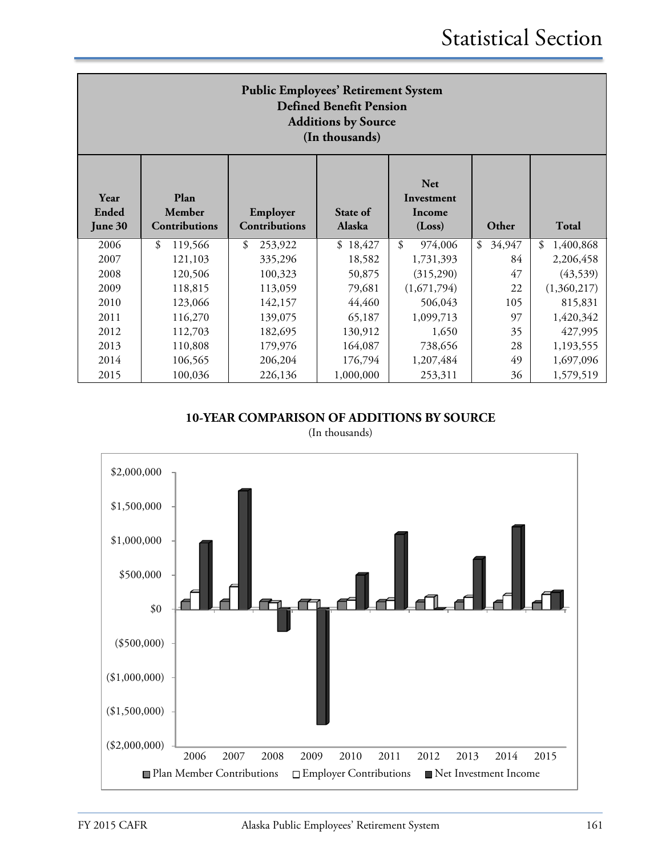| <b>Public Employees' Retirement System</b><br><b>Defined Benefit Pension</b><br><b>Additions by Source</b><br>(In thousands) |                                 |                           |                    |                                              |              |                 |  |  |
|------------------------------------------------------------------------------------------------------------------------------|---------------------------------|---------------------------|--------------------|----------------------------------------------|--------------|-----------------|--|--|
| Year<br><b>Ended</b><br>June 30                                                                                              | Plan<br>Member<br>Contributions | Employer<br>Contributions | State of<br>Alaska | <b>Net</b><br>Investment<br>Income<br>(Loss) | Other        | <b>Total</b>    |  |  |
| 2006                                                                                                                         | \$<br>119,566                   | \$<br>253,922             | \$18,427           | $\mathcal{S}$<br>974,006                     | \$<br>34,947 | 1,400,868<br>\$ |  |  |
| 2007                                                                                                                         | 121,103                         | 335,296                   | 18,582             | 1,731,393                                    | 84           | 2,206,458       |  |  |
| 2008                                                                                                                         | 120,506                         | 100,323                   | 50,875             | (315,290)                                    | 47           | (43,539)        |  |  |
| 2009                                                                                                                         | 118,815                         | 113,059                   | 79,681             | (1,671,794)                                  | 22           | (1,360,217)     |  |  |
| 2010                                                                                                                         | 123,066                         | 142,157                   | 44,460             | 506,043                                      | 105          | 815,831         |  |  |
| 2011                                                                                                                         | 116,270                         | 139,075                   | 65,187             | 1,099,713                                    | 97           | 1,420,342       |  |  |
| 2012                                                                                                                         | 112,703                         | 182,695                   | 130,912            | 1,650                                        | 35           | 427,995         |  |  |
| 2013                                                                                                                         | 110,808                         | 179,976                   | 164,087            | 738,656                                      | 28           | 1,193,555       |  |  |
| 2014                                                                                                                         | 106,565                         | 206,204                   | 176,794            | 1,207,484                                    | 49           | 1,697,096       |  |  |
| 2015                                                                                                                         | 100,036                         | 226,136                   | 1,000,000          | 253,311                                      | 36           | 1,579,519       |  |  |

(In thousands)

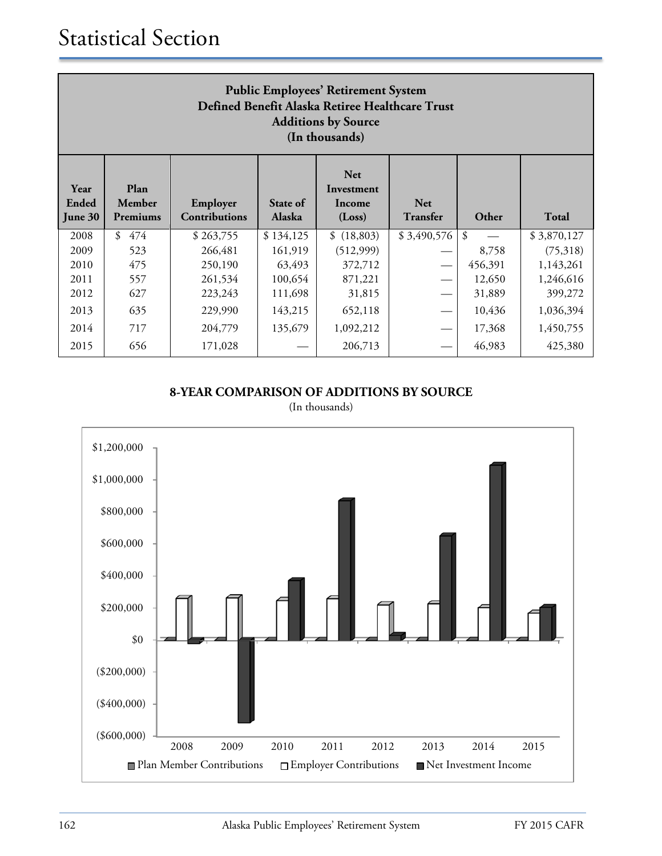| <b>Public Employees' Retirement System</b><br>Defined Benefit Alaska Retiree Healthcare Trust<br><b>Additions by Source</b><br>(In thousands)                                                                       |           |           |           |            |             |         |             |  |  |
|---------------------------------------------------------------------------------------------------------------------------------------------------------------------------------------------------------------------|-----------|-----------|-----------|------------|-------------|---------|-------------|--|--|
| <b>Net</b><br>Plan<br>Year<br>Investment<br>Ended<br>Member<br>Employer<br>State of<br><b>Net</b><br>Income<br><b>Contributions</b><br>Total<br>Alaska<br>Other<br>June 30<br>Premiums<br>(Loss)<br><b>Transfer</b> |           |           |           |            |             |         |             |  |  |
| 2008                                                                                                                                                                                                                | \$<br>474 | \$263,755 | \$134,125 | \$(18,803) | \$3,490,576 | \$      | \$3,870,127 |  |  |
| 2009                                                                                                                                                                                                                | 523       | 266,481   | 161,919   | (512,999)  |             | 8,758   | (75,318)    |  |  |
| 2010                                                                                                                                                                                                                | 475       | 250,190   | 63,493    | 372,712    |             | 456,391 | 1,143,261   |  |  |
| 2011                                                                                                                                                                                                                | 557       | 261,534   | 100,654   | 871,221    |             | 12,650  | 1,246,616   |  |  |
| 2012                                                                                                                                                                                                                | 627       | 223,243   | 111,698   | 31,815     |             | 31,889  | 399,272     |  |  |
| 2013                                                                                                                                                                                                                | 635       | 229,990   | 143,215   | 652,118    |             | 10,436  | 1,036,394   |  |  |
| 2014                                                                                                                                                                                                                | 717       | 204,779   | 135,679   | 1,092,212  |             | 17,368  | 1,450,755   |  |  |
| 2015                                                                                                                                                                                                                | 656       | 171,028   |           | 206,713    |             | 46,983  | 425,380     |  |  |

(In thousands)

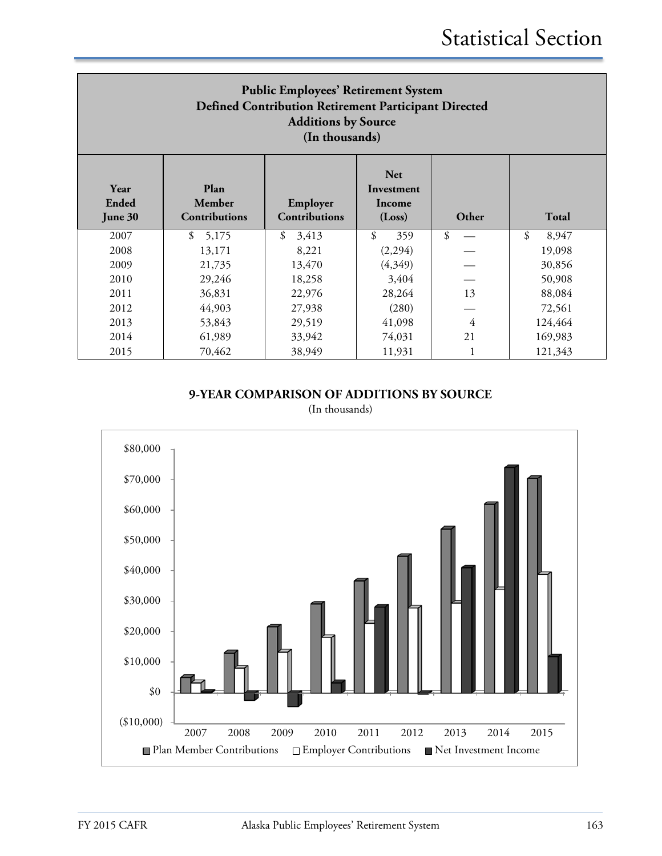| <b>Public Employees' Retirement System</b><br>Defined Contribution Retirement Participant Directed<br><b>Additions by Source</b><br>(In thousands) |                                                                                                                                       |             |           |    |             |  |  |  |
|----------------------------------------------------------------------------------------------------------------------------------------------------|---------------------------------------------------------------------------------------------------------------------------------------|-------------|-----------|----|-------------|--|--|--|
| Year<br>Ended<br>June 30                                                                                                                           | <b>Net</b><br>Plan<br>Investment<br>Member<br>Employer<br>Income<br><b>Contributions</b><br>Contributions<br>Total<br>Other<br>(Loss) |             |           |    |             |  |  |  |
| 2007                                                                                                                                               | \$<br>5,175                                                                                                                           | \$<br>3,413 | \$<br>359 | \$ | \$<br>8,947 |  |  |  |
| 2008                                                                                                                                               | 13,171                                                                                                                                | 8,221       | (2,294)   |    | 19,098      |  |  |  |
| 2009                                                                                                                                               | 21,735                                                                                                                                | 13,470      | (4,349)   |    | 30,856      |  |  |  |
| 2010                                                                                                                                               | 29,246                                                                                                                                | 18,258      | 3,404     |    | 50,908      |  |  |  |
| 2011                                                                                                                                               | 36,831                                                                                                                                | 22,976      | 28,264    | 13 | 88,084      |  |  |  |
| 2012                                                                                                                                               | 44,903                                                                                                                                | 27,938      | (280)     |    | 72,561      |  |  |  |
| 2013                                                                                                                                               | 29,519<br>4<br>124,464<br>53,843<br>41,098                                                                                            |             |           |    |             |  |  |  |
| 2014                                                                                                                                               | 61,989                                                                                                                                | 33,942      | 74,031    | 21 | 169,983     |  |  |  |
| 2015                                                                                                                                               | 70,462                                                                                                                                | 38,949      | 11,931    |    | 121,343     |  |  |  |

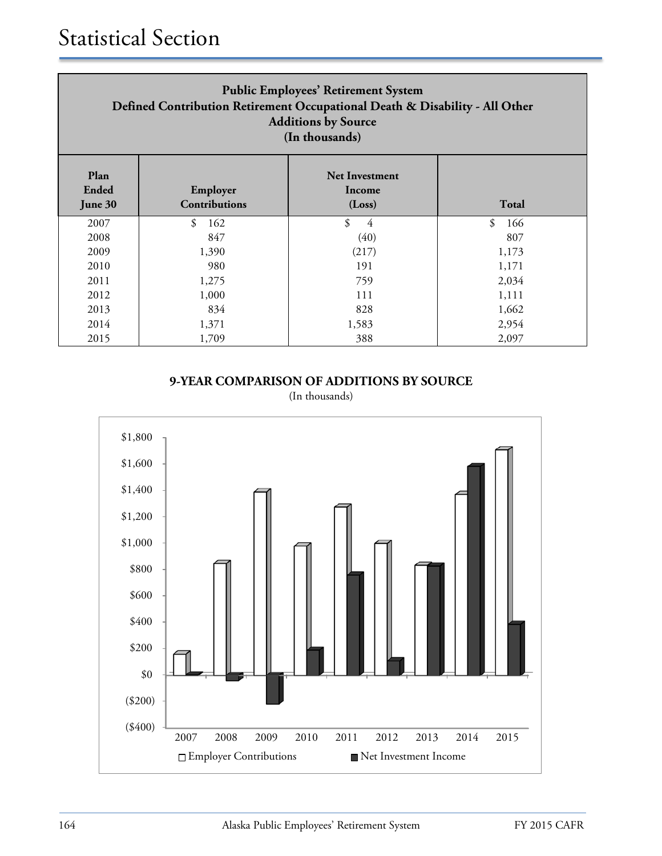| <b>Public Employees' Retirement System</b><br>Defined Contribution Retirement Occupational Death & Disability - All Other<br><b>Additions by Source</b><br>(In thousands) |                                  |                                           |                      |  |  |  |  |
|---------------------------------------------------------------------------------------------------------------------------------------------------------------------------|----------------------------------|-------------------------------------------|----------------------|--|--|--|--|
| Plan<br>Ended<br>June 30                                                                                                                                                  | Employer<br><b>Contributions</b> | <b>Net Investment</b><br>Income<br>(Loss) | <b>Total</b>         |  |  |  |  |
| 2007                                                                                                                                                                      | \$<br>162                        | \$<br>4                                   | $\mathcal{S}$<br>166 |  |  |  |  |
| 2008                                                                                                                                                                      | 847                              | (40)                                      | 807                  |  |  |  |  |
| 2009                                                                                                                                                                      | 1,390                            | (217)                                     | 1,173                |  |  |  |  |
| 2010                                                                                                                                                                      | 980                              | 191                                       | 1,171                |  |  |  |  |
| 2011                                                                                                                                                                      | 1,275                            | 759                                       | 2,034                |  |  |  |  |
| 2012                                                                                                                                                                      | 1,000                            | 111                                       | 1,111                |  |  |  |  |
| 2013                                                                                                                                                                      | 834                              | 828                                       | 1,662                |  |  |  |  |
| 2014                                                                                                                                                                      | 1,371                            | 1,583                                     | 2,954                |  |  |  |  |
| 2015                                                                                                                                                                      | 1,709                            | 388                                       | 2,097                |  |  |  |  |

**9-YEAR COMPARISON OF ADDITIONS BY SOURCE**

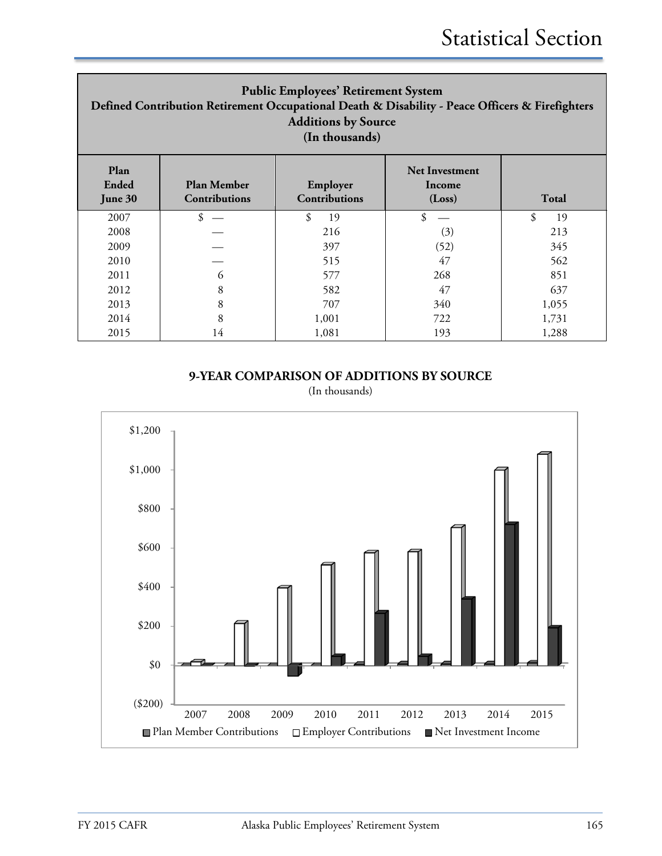| <b>Public Employees' Retirement System</b><br>Defined Contribution Retirement Occupational Death & Disability - Peace Officers & Firefighters<br><b>Additions by Source</b><br>(In thousands) |    |          |      |          |  |  |  |
|-----------------------------------------------------------------------------------------------------------------------------------------------------------------------------------------------|----|----------|------|----------|--|--|--|
| Plan<br><b>Net Investment</b><br>Ended<br><b>Plan Member</b><br>Employer<br>Income<br><b>Contributions</b><br><b>Contributions</b><br>(Loss)<br>Total<br>June 30                              |    |          |      |          |  |  |  |
| 2007                                                                                                                                                                                          | \$ | \$<br>19 | \$   | \$<br>19 |  |  |  |
| 2008                                                                                                                                                                                          |    | 216      | (3)  | 213      |  |  |  |
| 2009                                                                                                                                                                                          |    | 397      | (52) | 345      |  |  |  |
| 2010                                                                                                                                                                                          |    | 515      | 47   | 562      |  |  |  |
| 2011                                                                                                                                                                                          | 6  | 577      | 268  | 851      |  |  |  |
| 2012                                                                                                                                                                                          | 8  | 582      | 47   | 637      |  |  |  |
| 2013                                                                                                                                                                                          | 8  | 707      | 340  | 1,055    |  |  |  |
| 2014                                                                                                                                                                                          | 8  | 1,001    | 722  | 1,731    |  |  |  |
| 2015                                                                                                                                                                                          | 14 | 1,081    | 193  | 1,288    |  |  |  |

**9-YEAR COMPARISON OF ADDITIONS BY SOURCE**

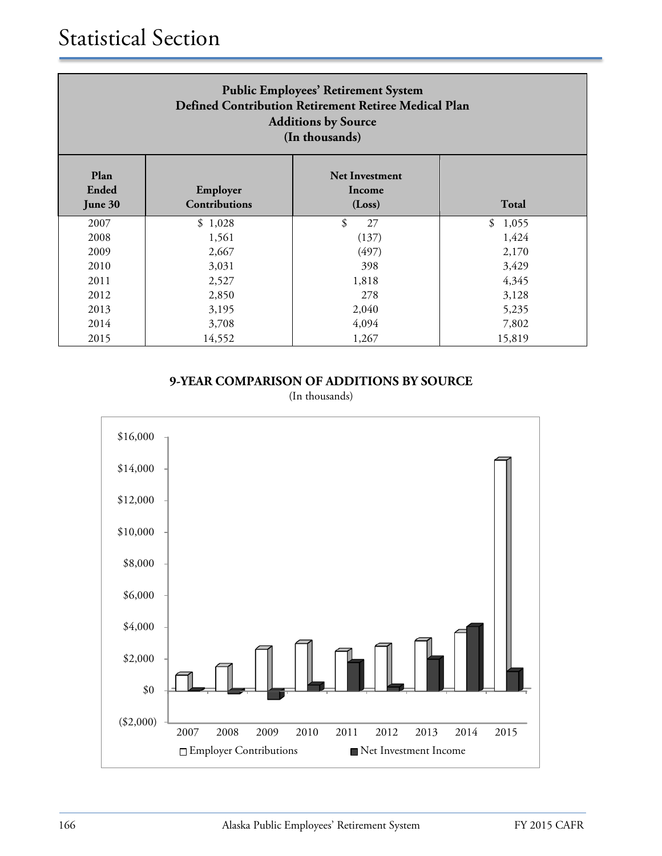| <b>Public Employees' Retirement System</b><br>Defined Contribution Retirement Retiree Medical Plan<br><b>Additions by Source</b><br>(In thousands) |         |          |         |  |  |  |
|----------------------------------------------------------------------------------------------------------------------------------------------------|---------|----------|---------|--|--|--|
| Plan<br><b>Net Investment</b><br>Ended<br>Employer<br>Income<br><b>Contributions</b><br><b>Total</b><br>(Loss)<br>June 30                          |         |          |         |  |  |  |
| 2007                                                                                                                                               | \$1,028 | \$<br>27 | \$1,055 |  |  |  |
| 2008                                                                                                                                               | 1,561   | (137)    | 1,424   |  |  |  |
| 2009                                                                                                                                               | 2,667   | (497)    | 2,170   |  |  |  |
| 2010                                                                                                                                               | 3,031   | 398      | 3,429   |  |  |  |
| 2011                                                                                                                                               | 2,527   | 1,818    | 4,345   |  |  |  |
| 2012                                                                                                                                               | 2,850   | 278      | 3,128   |  |  |  |
| 2013                                                                                                                                               | 3,195   | 2,040    | 5,235   |  |  |  |
| 2014                                                                                                                                               | 3,708   | 4,094    | 7,802   |  |  |  |
| 2015                                                                                                                                               | 14,552  | 1,267    | 15,819  |  |  |  |

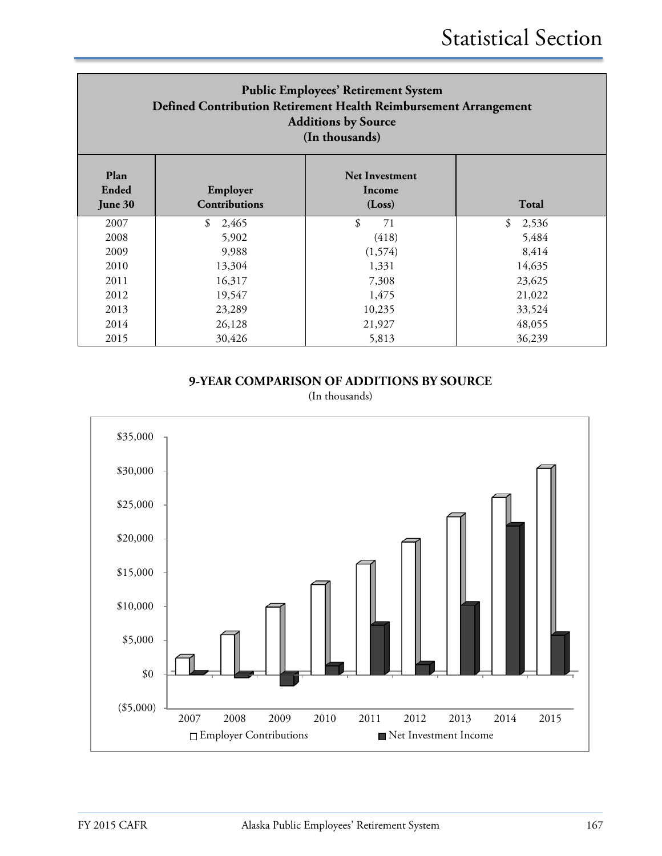| <b>Public Employees' Retirement System</b><br>Defined Contribution Retirement Health Reimbursement Arrangement<br><b>Additions by Source</b><br>(In thousands) |                                  |                                           |             |  |  |
|----------------------------------------------------------------------------------------------------------------------------------------------------------------|----------------------------------|-------------------------------------------|-------------|--|--|
| Plan<br>Ended<br>June 30                                                                                                                                       | Employer<br><b>Contributions</b> | <b>Net Investment</b><br>Income<br>(Loss) | Total       |  |  |
| 2007                                                                                                                                                           | 2,465<br>\$                      | \$<br>71                                  | \$<br>2,536 |  |  |
| 2008                                                                                                                                                           | 5,902                            | (418)                                     | 5,484       |  |  |
| 2009                                                                                                                                                           | 9,988                            | (1, 574)                                  | 8,414       |  |  |
| 2010                                                                                                                                                           | 13,304                           | 1,331                                     | 14,635      |  |  |
| 2011                                                                                                                                                           | 16,317                           | 7,308                                     | 23,625      |  |  |
| 2012                                                                                                                                                           | 19,547                           | 1,475                                     | 21,022      |  |  |
| 2013                                                                                                                                                           | 23,289                           | 10,235                                    | 33,524      |  |  |
| 2014                                                                                                                                                           | 26,128                           | 21,927                                    | 48,055      |  |  |
| 2015                                                                                                                                                           | 30,426                           | 5,813                                     | 36,239      |  |  |

**9-YEAR COMPARISON OF ADDITIONS BY SOURCE**

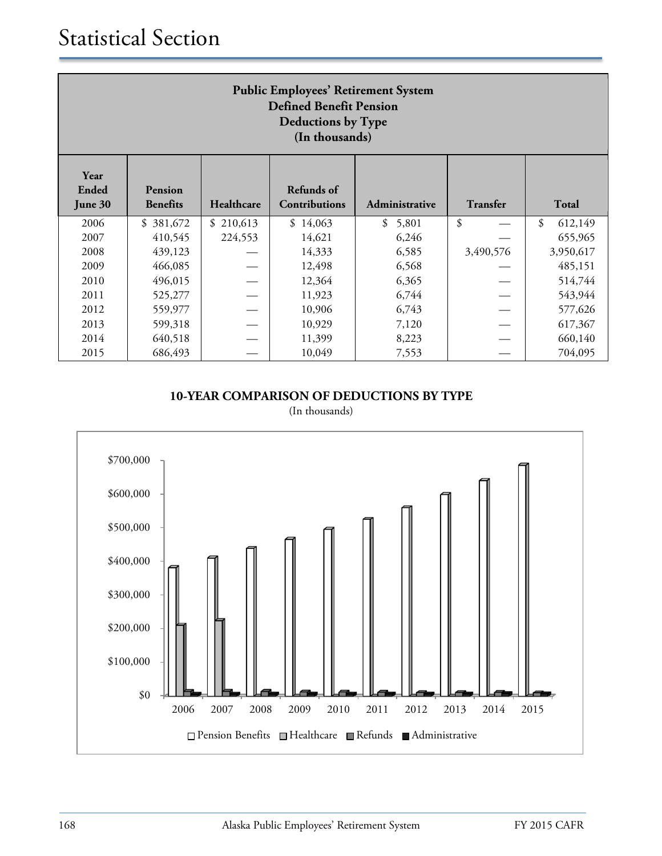| <b>Public Employees' Retirement System</b><br><b>Defined Benefit Pension</b><br><b>Deductions by Type</b><br>(In thousands)                       |           |           |          |             |           |               |  |
|---------------------------------------------------------------------------------------------------------------------------------------------------|-----------|-----------|----------|-------------|-----------|---------------|--|
| Year<br>Refunds of<br>Ended<br>Pension<br>Healthcare<br><b>Contributions</b><br>Transfer<br>Total<br>Administrative<br><b>Benefits</b><br>June 30 |           |           |          |             |           |               |  |
| 2006                                                                                                                                              | \$381,672 | \$210,613 | \$14,063 | 5,801<br>\$ | \$        | \$<br>612,149 |  |
| 2007                                                                                                                                              | 410,545   | 224,553   | 14,621   | 6,246       |           | 655,965       |  |
| 2008                                                                                                                                              | 439,123   |           | 14,333   | 6,585       | 3,490,576 | 3,950,617     |  |
| 2009                                                                                                                                              | 466,085   |           | 12,498   | 6,568       |           | 485,151       |  |
| 2010                                                                                                                                              | 496,015   |           | 12,364   | 6,365       |           | 514,744       |  |
| 2011                                                                                                                                              | 525,277   |           | 11,923   | 6,744       |           | 543,944       |  |
| 2012                                                                                                                                              | 559,977   |           | 10,906   | 6,743       |           | 577,626       |  |
| 2013                                                                                                                                              | 599,318   |           | 10,929   | 7,120       |           | 617,367       |  |
| 2014                                                                                                                                              | 640,518   |           | 11,399   | 8,223       |           | 660,140       |  |
| 2015                                                                                                                                              | 686,493   |           | 10,049   | 7,553       |           | 704,095       |  |

(In thousands)

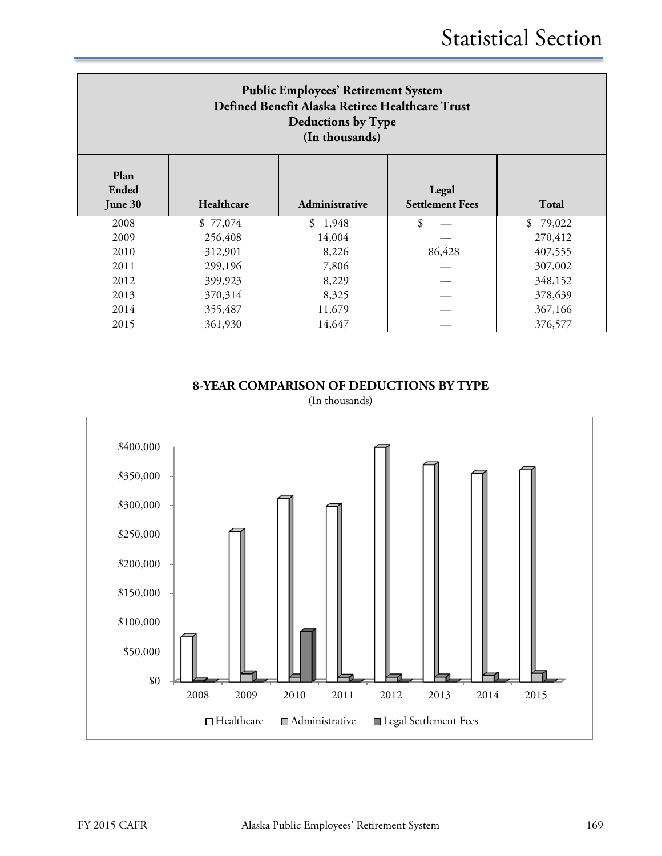| <b>Public Employees' Retirement System</b><br>Defined Benefit Alaska Retiree Healthcare Trust<br><b>Deductions by Type</b><br>(In thousands) |          |         |        |          |  |  |  |
|----------------------------------------------------------------------------------------------------------------------------------------------|----------|---------|--------|----------|--|--|--|
| Plan<br>Ended<br>Legal<br>Healthcare<br><b>Settlement Fees</b><br><b>Total</b><br>Administrative<br>June 30                                  |          |         |        |          |  |  |  |
| 2008                                                                                                                                         | \$77,074 | \$1,948 | \$     | \$79,022 |  |  |  |
| 2009                                                                                                                                         | 256,408  | 14,004  |        | 270,412  |  |  |  |
| 2010                                                                                                                                         | 312,901  | 8,226   | 86,428 | 407,555  |  |  |  |
| 2011                                                                                                                                         | 299,196  | 7,806   |        | 307,002  |  |  |  |
| 2012                                                                                                                                         | 399,923  | 8,229   |        | 348,152  |  |  |  |
| 2013                                                                                                                                         | 370,314  | 8,325   |        | 378,639  |  |  |  |
| 2014                                                                                                                                         | 355,487  | 11,679  |        | 367,166  |  |  |  |
| 2015                                                                                                                                         | 361,930  | 14,647  |        | 376,577  |  |  |  |

**8-YEAR COMPARISON OF DEDUCTIONS BY TYPE**

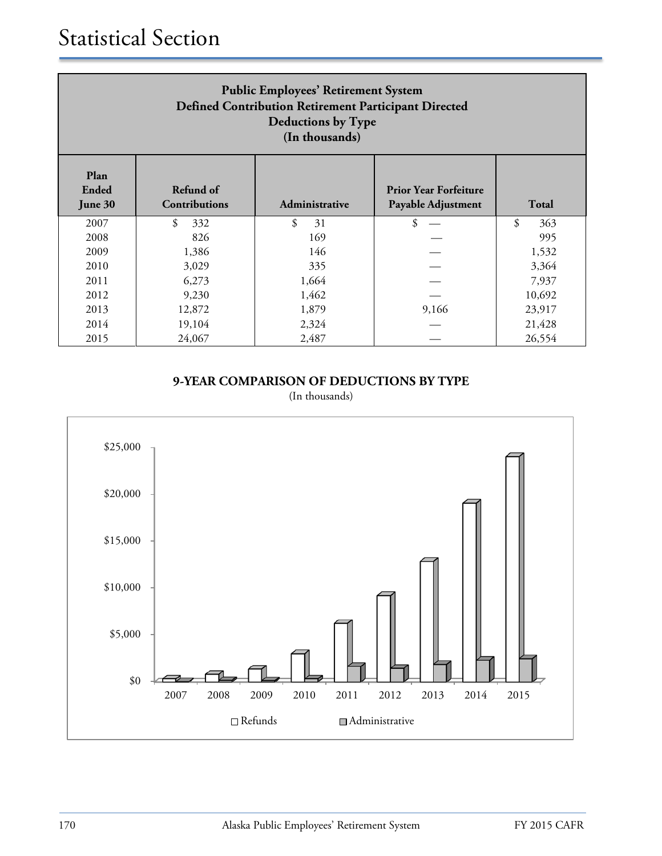| <b>Public Employees' Retirement System</b><br>Defined Contribution Retirement Participant Directed<br>Deductions by Type<br>(In thousands)            |           |          |       |           |  |  |  |
|-------------------------------------------------------------------------------------------------------------------------------------------------------|-----------|----------|-------|-----------|--|--|--|
| Plan<br>Refund of<br>Ended<br><b>Prior Year Forfeiture</b><br><b>Contributions</b><br>Administrative<br>Payable Adjustment<br><b>Total</b><br>June 30 |           |          |       |           |  |  |  |
| 2007                                                                                                                                                  | \$<br>332 | \$<br>31 | \$    | \$<br>363 |  |  |  |
| 2008                                                                                                                                                  | 826       | 169      |       | 995       |  |  |  |
| 2009                                                                                                                                                  | 1,386     | 146      |       | 1,532     |  |  |  |
| 2010                                                                                                                                                  | 3,029     | 335      |       | 3,364     |  |  |  |
| 2011                                                                                                                                                  | 6,273     | 1,664    |       | 7,937     |  |  |  |
| 2012                                                                                                                                                  | 9,230     | 1,462    |       | 10,692    |  |  |  |
| 2013                                                                                                                                                  | 12,872    | 1,879    | 9,166 | 23,917    |  |  |  |
| 2014                                                                                                                                                  | 19,104    | 2,324    |       | 21,428    |  |  |  |
| 2015                                                                                                                                                  | 24,067    | 2,487    |       | 26,554    |  |  |  |

**9-YEAR COMPARISON OF DEDUCTIONS BY TYPE**

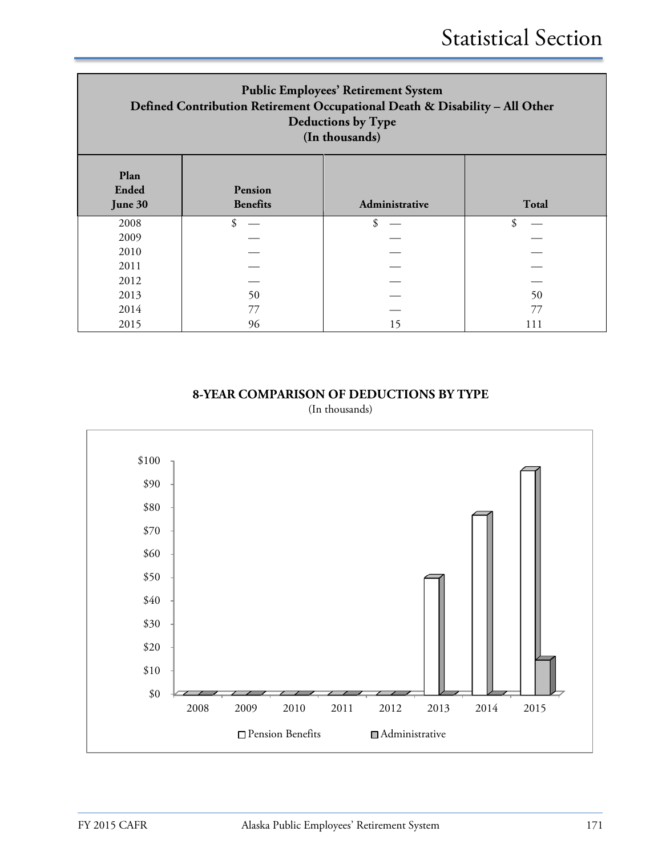| <b>Public Employees' Retirement System</b><br>Defined Contribution Retirement Occupational Death & Disability - All Other<br>Deductions by Type<br>(In thousands) |    |    |     |  |  |  |
|-------------------------------------------------------------------------------------------------------------------------------------------------------------------|----|----|-----|--|--|--|
| Plan<br><b>Ended</b><br>Pension<br><b>Benefits</b><br><b>Total</b><br>Administrative<br>June 30                                                                   |    |    |     |  |  |  |
| 2008                                                                                                                                                              | \$ | \$ | \$  |  |  |  |
| 2009                                                                                                                                                              |    |    |     |  |  |  |
| 2010                                                                                                                                                              |    |    |     |  |  |  |
| 2011                                                                                                                                                              |    |    |     |  |  |  |
| 2012                                                                                                                                                              |    |    |     |  |  |  |
| 2013                                                                                                                                                              | 50 |    |     |  |  |  |
| 2014                                                                                                                                                              | 77 |    | 77  |  |  |  |
| 2015                                                                                                                                                              | 96 | 15 | 111 |  |  |  |

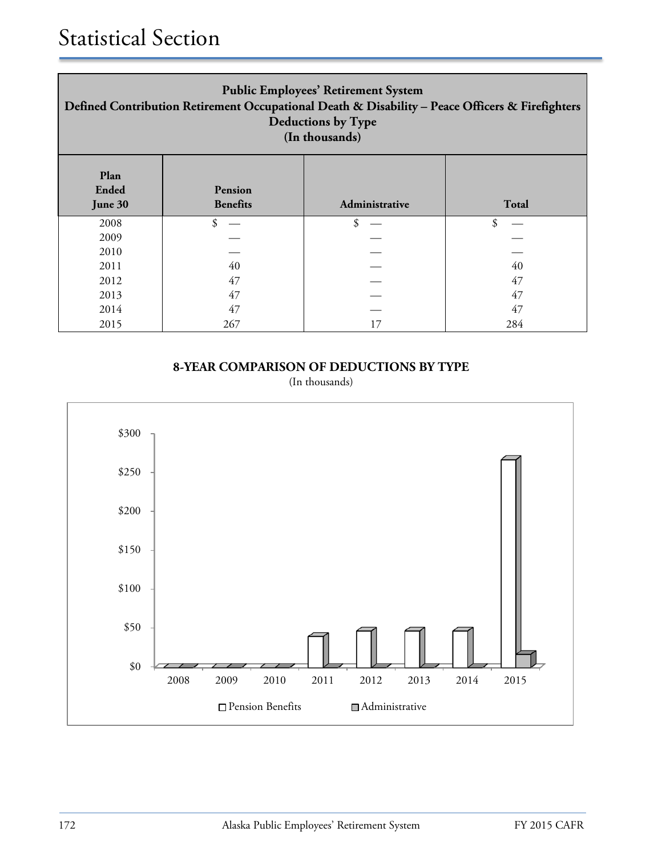| <b>Public Employees' Retirement System</b><br>Defined Contribution Retirement Occupational Death & Disability - Peace Officers & Firefighters<br><b>Deductions by Type</b><br>(In thousands) |     |    |     |  |  |  |
|----------------------------------------------------------------------------------------------------------------------------------------------------------------------------------------------|-----|----|-----|--|--|--|
| Plan<br><b>Ended</b><br>Pension<br><b>Benefits</b><br><b>Total</b><br>Administrative<br>June 30                                                                                              |     |    |     |  |  |  |
| 2008                                                                                                                                                                                         |     |    | ፍ   |  |  |  |
| 2009                                                                                                                                                                                         |     |    |     |  |  |  |
| 2010                                                                                                                                                                                         |     |    |     |  |  |  |
| 2011                                                                                                                                                                                         | 40  |    | 40  |  |  |  |
| 2012                                                                                                                                                                                         | 47  |    | 47  |  |  |  |
| 2013                                                                                                                                                                                         | 47  |    | 47  |  |  |  |
| 2014                                                                                                                                                                                         | 47  |    | 47  |  |  |  |
| 2015                                                                                                                                                                                         | 267 | 17 | 284 |  |  |  |

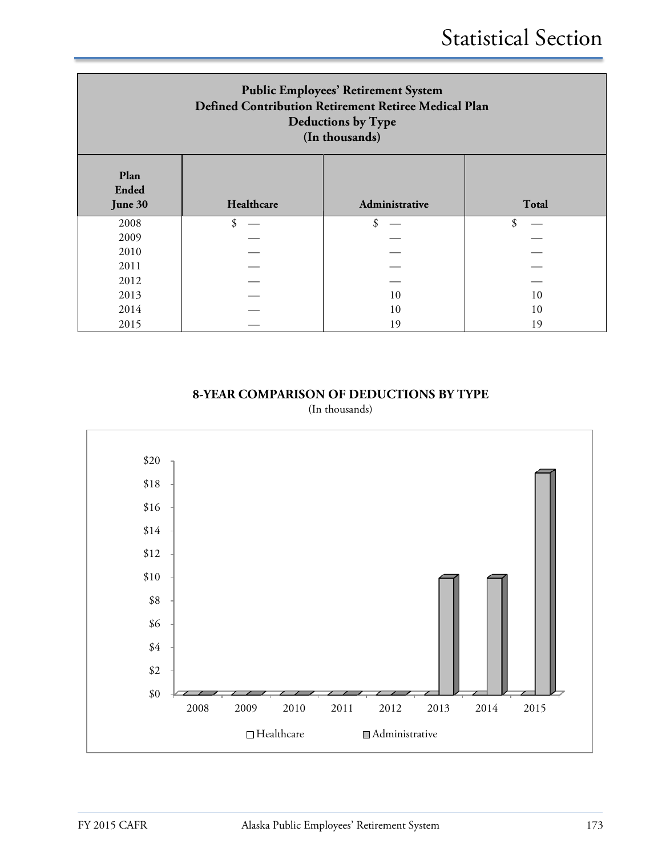| <b>Public Employees' Retirement System</b><br>Defined Contribution Retirement Retiree Medical Plan<br><b>Deductions by Type</b><br>(In thousands) |    |    |    |  |  |  |
|---------------------------------------------------------------------------------------------------------------------------------------------------|----|----|----|--|--|--|
| Plan<br><b>Ended</b><br>Healthcare<br>Administrative<br>Total<br>June 30                                                                          |    |    |    |  |  |  |
| 2008                                                                                                                                              | \$ | \$ | \$ |  |  |  |
| 2009                                                                                                                                              |    |    |    |  |  |  |
| 2010                                                                                                                                              |    |    |    |  |  |  |
| 2011                                                                                                                                              |    |    |    |  |  |  |
| 2012                                                                                                                                              |    |    |    |  |  |  |
| 2013                                                                                                                                              |    | 10 | 10 |  |  |  |
| 2014                                                                                                                                              |    | 10 | 10 |  |  |  |
| 2015                                                                                                                                              |    | 19 | 19 |  |  |  |

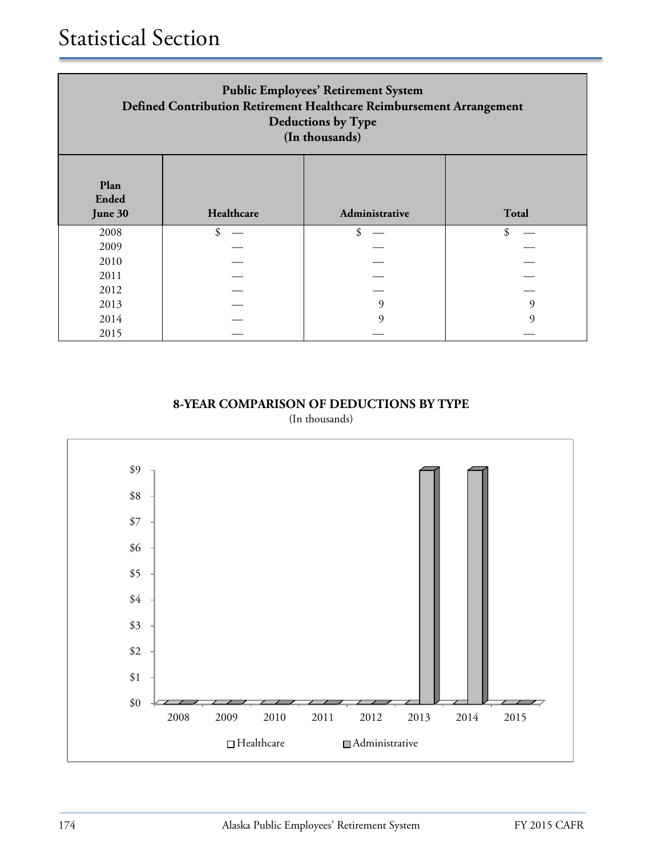| <b>Public Employees' Retirement System</b><br>Defined Contribution Retirement Healthcare Reimbursement Arrangement<br>Deductions by Type<br>(In thousands) |    |                   |    |  |  |  |
|------------------------------------------------------------------------------------------------------------------------------------------------------------|----|-------------------|----|--|--|--|
| Plan<br><b>Ended</b><br><b>Total</b><br>Healthcare<br>Administrative<br>June 30                                                                            |    |                   |    |  |  |  |
| 2008                                                                                                                                                       | \$ | \$                | \$ |  |  |  |
| 2009                                                                                                                                                       |    |                   |    |  |  |  |
| 2010                                                                                                                                                       |    |                   |    |  |  |  |
| 2011                                                                                                                                                       |    |                   |    |  |  |  |
| 2012                                                                                                                                                       |    |                   |    |  |  |  |
| 2013                                                                                                                                                       |    | <sub>Q</sub><br>9 |    |  |  |  |
| 2014                                                                                                                                                       |    |                   | q  |  |  |  |
| 2015                                                                                                                                                       |    |                   |    |  |  |  |

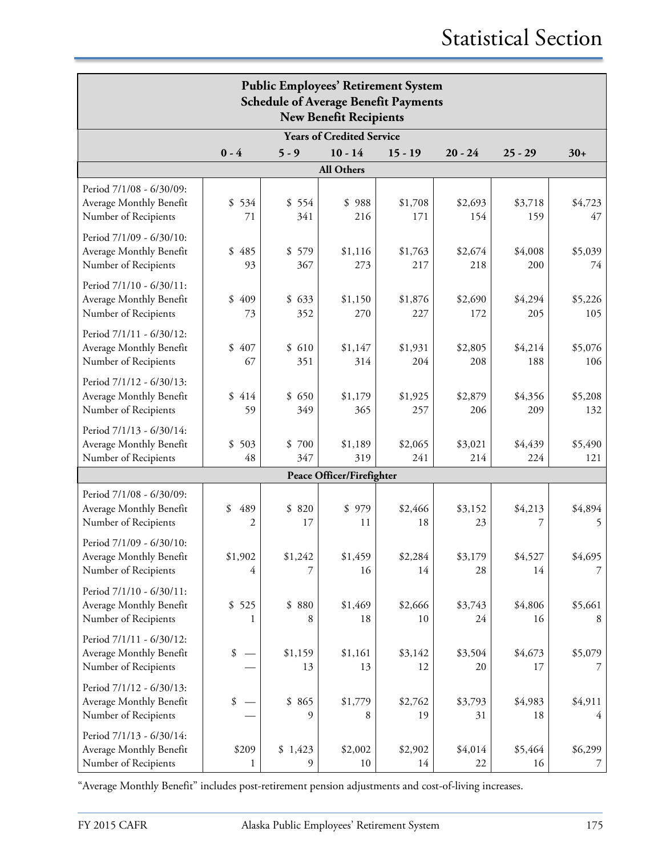| <b>Public Employees' Retirement System</b><br><b>Schedule of Average Benefit Payments</b><br><b>New Benefit Recipients</b> |                 |                  |                                  |                |                |                |                |
|----------------------------------------------------------------------------------------------------------------------------|-----------------|------------------|----------------------------------|----------------|----------------|----------------|----------------|
|                                                                                                                            |                 |                  | <b>Years of Credited Service</b> |                |                |                |                |
|                                                                                                                            | $0 - 4$         | $5 - 9$          | $10 - 14$                        | $15 - 19$      | $20 - 24$      | $25 - 29$      | $30+$          |
|                                                                                                                            |                 |                  | <b>All Others</b>                |                |                |                |                |
| Period 7/1/08 - 6/30/09:<br>Average Monthly Benefit<br>Number of Recipients                                                | \$<br>534<br>71 | \$554<br>341     | \$988<br>216                     | \$1,708<br>171 | \$2,693<br>154 | \$3,718<br>159 | \$4,723<br>47  |
| Period 7/1/09 - 6/30/10:<br>Average Monthly Benefit<br>Number of Recipients                                                | \$<br>485<br>93 | \$<br>579<br>367 | \$1,116<br>273                   | \$1,763<br>217 | \$2,674<br>218 | \$4,008<br>200 | \$5,039<br>74  |
| Period 7/1/10 - 6/30/11:<br>Average Monthly Benefit<br>Number of Recipients                                                | 409<br>\$<br>73 | \$633<br>352     | \$1,150<br>270                   | \$1,876<br>227 | \$2,690<br>172 | \$4,294<br>205 | \$5,226<br>105 |
| Period 7/1/11 - 6/30/12:<br>Average Monthly Benefit<br>Number of Recipients                                                | 407<br>\$<br>67 | \$610<br>351     | \$1,147<br>314                   | \$1,931<br>204 | \$2,805<br>208 | \$4,214<br>188 | \$5,076<br>106 |
| Period 7/1/12 - 6/30/13:<br>Average Monthly Benefit<br>Number of Recipients                                                | \$<br>414<br>59 | \$650<br>349     | \$1,179<br>365                   | \$1,925<br>257 | \$2,879<br>206 | \$4,356<br>209 | \$5,208<br>132 |
| Period 7/1/13 - 6/30/14:<br>Average Monthly Benefit<br>Number of Recipients                                                | \$<br>503<br>48 | \$700<br>347     | \$1,189<br>319                   | \$2,065<br>241 | \$3,021<br>214 | \$4,439<br>224 | \$5,490<br>121 |
|                                                                                                                            |                 |                  | Peace Officer/Firefighter        |                |                |                |                |
| Period 7/1/08 - 6/30/09:<br>Average Monthly Benefit<br>Number of Recipients                                                | \$<br>489<br>2  | \$<br>820<br>17  | 979<br>\$<br>11                  | \$2,466<br>18  | \$3,152<br>23  | \$4,213<br>7   | \$4,894<br>5   |
| Period 7/1/09 - 6/30/10:<br>Average Monthly Benefit<br>Number of Recipients                                                | \$1,902<br>4    | \$1,242<br>7     | \$1,459<br>16                    | \$2,284<br>14  | \$3,179<br>28  | \$4,527<br>14  | \$4,695<br>7   |
| Period 7/1/10 - 6/30/11:<br>Average Monthly Benefit<br>Number of Recipients                                                | \$<br>525<br>1  | \$880<br>8       | \$1,469<br>18                    | \$2,666<br>10  | \$3,743<br>24  | \$4,806<br>16  | \$5,661<br>8   |
| Period 7/1/11 - 6/30/12:<br>Average Monthly Benefit<br>Number of Recipients                                                | \$              | \$1,159<br>13    | \$1,161<br>13                    | \$3,142<br>12  | \$3,504<br>20  | \$4,673<br>17  | \$5,079        |
| Period 7/1/12 - 6/30/13:<br>Average Monthly Benefit<br>Number of Recipients                                                | \$              | \$865<br>9       | \$1,779<br>8                     | \$2,762<br>19  | \$3,793<br>31  | \$4,983<br>18  | \$4,911<br>4   |
| Period 7/1/13 - 6/30/14:<br>Average Monthly Benefit<br>Number of Recipients                                                | \$209<br>1      | \$1,423<br>9     | \$2,002<br>10                    | \$2,902<br>14  | \$4,014<br>22  | \$5,464<br>16  | \$6,299<br>7   |

"Average Monthly Benefit" includes post-retirement pension adjustments and cost-of-living increases.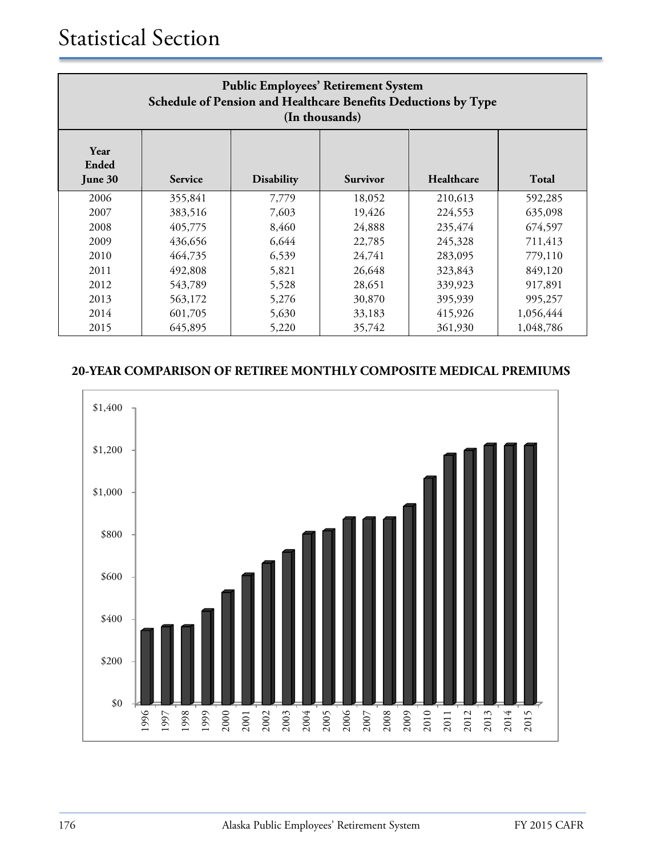| <b>Public Employees' Retirement System</b><br>Schedule of Pension and Healthcare Benefits Deductions by Type<br>(In thousands) |         |       |        |         |           |  |
|--------------------------------------------------------------------------------------------------------------------------------|---------|-------|--------|---------|-----------|--|
| Year<br>Ended<br>Healthcare<br><b>Total</b><br><b>Disability</b><br><b>Survivor</b><br>June 30<br><b>Service</b>               |         |       |        |         |           |  |
| 2006                                                                                                                           | 355,841 | 7,779 | 18,052 | 210,613 | 592,285   |  |
| 2007                                                                                                                           | 383,516 | 7,603 | 19,426 | 224,553 | 635,098   |  |
| 2008                                                                                                                           | 405,775 | 8,460 | 24,888 | 235,474 | 674,597   |  |
| 2009                                                                                                                           | 436,656 | 6,644 | 22,785 | 245,328 | 711,413   |  |
| 2010                                                                                                                           | 464,735 | 6,539 | 24,741 | 283,095 | 779,110   |  |
| 2011                                                                                                                           | 492,808 | 5,821 | 26,648 | 323,843 | 849,120   |  |
| 2012                                                                                                                           | 543,789 | 5,528 | 28,651 | 339,923 | 917,891   |  |
| 2013                                                                                                                           | 563,172 | 5,276 | 30,870 | 395,939 | 995,257   |  |
| 2014                                                                                                                           | 601,705 | 5,630 | 33,183 | 415,926 | 1,056,444 |  |
| 2015                                                                                                                           | 645,895 | 5,220 | 35,742 | 361,930 | 1,048,786 |  |

# **20-YEAR COMPARISON OF RETIREE MONTHLY COMPOSITE MEDICAL PREMIUMS**

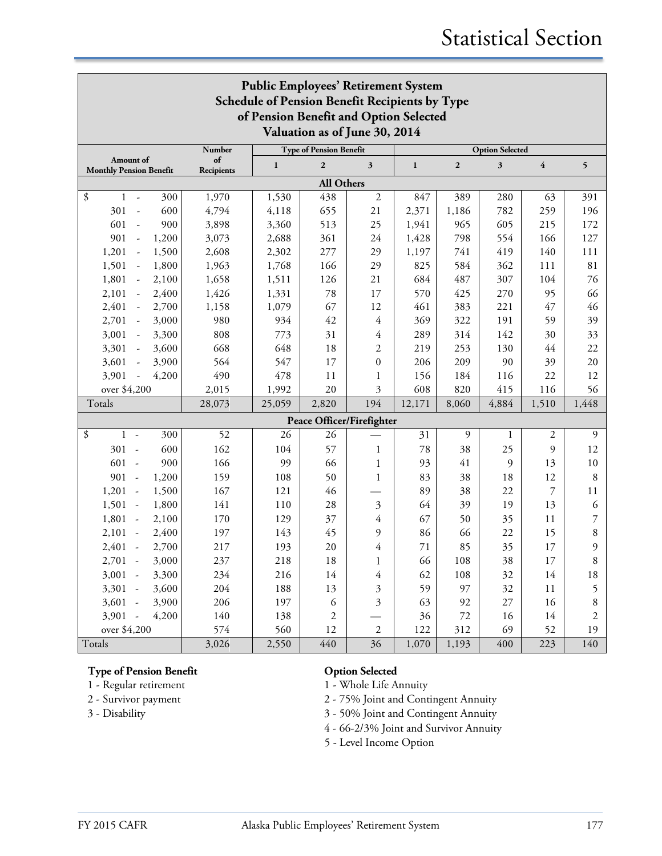| <b>Public Employees' Retirement System</b>  |                                                       |              |                  |                           |              |              |       |                         |         |
|---------------------------------------------|-------------------------------------------------------|--------------|------------------|---------------------------|--------------|--------------|-------|-------------------------|---------|
|                                             | <b>Schedule of Pension Benefit Recipients by Type</b> |              |                  |                           |              |              |       |                         |         |
| of Pension Benefit and Option Selected      |                                                       |              |                  |                           |              |              |       |                         |         |
| Valuation as of June 30, 2014               |                                                       |              |                  |                           |              |              |       |                         |         |
| <b>Type of Pension Benefit</b><br>Number    |                                                       |              |                  | <b>Option Selected</b>    |              |              |       |                         |         |
| Amount of                                   | of                                                    | $\mathbf{1}$ | $\mathbf{2}$     | 3                         | $\mathbf{1}$ | $\mathbf{2}$ | 3     | $\overline{\mathbf{4}}$ | 5       |
| <b>Monthly Pension Benefit</b>              | Recipients                                            |              |                  |                           |              |              |       |                         |         |
| <b>All Others</b>                           |                                                       |              |                  |                           |              |              |       |                         |         |
| \$<br>$\mathbf{1}$<br>300<br>$\overline{a}$ | 1,970                                                 | 1,530        | 438              | $\sqrt{2}$                | 847          | 389          | 280   | 63                      | 391     |
| 301<br>600<br>$\sim$                        | 4,794                                                 | 4,118        | 655              | 21                        | 2,371        | 1,186        | 782   | 259                     | 196     |
| 601<br>900<br>$\sim$                        | 3,898                                                 | 3,360        | 513              | 25                        | 1,941        | 965          | 605   | 215                     | 172     |
| 901<br>1,200<br>$\overline{\phantom{a}}$    | 3,073                                                 | 2,688        | 361              | 24                        | 1,428        | 798          | 554   | 166                     | 127     |
| 1,201<br>1,500<br>$\overline{\phantom{a}}$  | 2,608                                                 | 2,302        | 277              | 29                        | 1,197        | 741          | 419   | 140                     | 111     |
| 1,501<br>1,800                              | 1,963                                                 | 1,768        | 166              | 29                        | 825          | 584          | 362   | 111                     | 81      |
| 1,801<br>2,100                              | 1,658                                                 | 1,511        | 126              | 21                        | 684          | 487          | 307   | 104                     | 76      |
| 2,400<br>2,101<br>$\overline{\phantom{a}}$  | 1,426                                                 | 1,331        | 78               | 17                        | 570          | 425          | 270   | 95                      | 66      |
| 2,401<br>2,700<br>$\overline{\phantom{a}}$  | 1,158                                                 | 1,079        | 67               | 12                        | 461          | 383          | 221   | 47                      | 46      |
| 2,701<br>3,000<br>$\sim$                    | 980                                                   | 934          | 42               | 4                         | 369          | 322          | 191   | 59                      | 39      |
| 3,001<br>3,300<br>$\sim$                    | 808                                                   | 773          | 31               | 4                         | 289          | 314          | 142   | 30                      | 33      |
| 3,301<br>3,600<br>$\sim$                    | 668                                                   | 648          | 18               | 2                         | 219          | 253          | 130   | 44                      | 22      |
| 3,601<br>3,900<br>$\sim$                    | 564                                                   | 547          | 17               | $\boldsymbol{0}$          | 206          | 209          | 90    | 39                      | 20      |
| 3,901<br>4,200<br>$\overline{\phantom{a}}$  | 490                                                   | 478          | 11               | 1                         | 156          | 184          | 116   | 22                      | 12      |
| over \$4,200                                | 2,015                                                 | 1,992        | 20               | 3                         | 608          | 820          | 415   | 116                     | 56      |
| Totals                                      | 28,073                                                | 25,059       | 2,820            | 194                       | 12,171       | 8,060        | 4,884 | 1,510                   | 1,448   |
|                                             |                                                       |              |                  | Peace Officer/Firefighter |              |              |       |                         |         |
| \$<br>300<br>1<br>$\overline{\phantom{a}}$  | 52                                                    | 26           | 26               |                           | 31           | 9            | 1     | 2                       | 9       |
| 600<br>$301 -$                              | 162                                                   | 104          | 57               | 1                         | 78           | 38           | 25    | 9                       | 12      |
| 601<br>900<br>$\overline{\phantom{a}}$      | 166                                                   | 99           | 66               | $\mathbf 1$               | 93           | 41           | 9     | 13                      | 10      |
| 901<br>1,200<br>$\overline{a}$              | 159                                                   | 108          | 50               | $\mathbf{1}$              | 83           | 38           | 18    | 12                      | 8       |
| 1,201<br>1,500<br>$\sim$                    | 167                                                   | 121          | 46               |                           | 89           | 38           | 22    | 7                       | 11      |
| $1,501 -$<br>1,800                          | 141                                                   | 110          | 28               | $\mathfrak{Z}$            | 64           | 39           | 19    | 13                      | 6       |
| 1,801<br>2,100<br>$\overline{\phantom{a}}$  | 170                                                   | 129          | 37               | 4                         | 67           | 50           | 35    | 11                      | 7       |
| 2,400<br>2,101<br>$\sim$                    | 197                                                   | 143          | 45               | 9                         | 86           | 66           | 22    | 15                      | $\,8\,$ |
| 2,401<br>2,700<br>$\overline{\phantom{a}}$  | 217                                                   | 193          | 20               | 4                         | 71           | 85           | 35    | 17                      | 9       |
| 2,701 -<br>3,000                            | 237                                                   | 218          | $18\,$           | $\mathbf{1}$              | 66           | $108\,$      | 38    | 17                      | 8       |
| $3,001 -$<br>3,300                          | 234                                                   | 216          | 14               | 4                         | 62           | 108          | 32    | 14                      | 18      |
| 3,301 -<br>3,600                            | 204                                                   | 188          | 13               | $\mathfrak{Z}$            | 59           | 97           | 32    | 11                      | 5       |
| $3,601 -$<br>3,900                          | 206                                                   | 197          | 6                | $\overline{\mathbf{3}}$   | 63           | 92           | 27    | 16                      | 8       |
| $3,901 -$<br>4,200                          | 140                                                   | 138          | $\boldsymbol{2}$ |                           | 36           | 72           | 16    | 14                      | 2       |
| over \$4,200                                | 574                                                   | 560          | 12               | 2                         | 122          | 312          | 69    | 52                      | 19      |
| Totals                                      | 3,026                                                 | 2,550        | 440              | 36                        | 1,070        | 1,193        | 400   | 223                     | 140     |

#### **Type of Pension Benefit Option Selected**

- 
- 
- 

- 1 Regular retirement 1 Whole Life Annuity
- 2 Survivor payment 2 75% Joint and Contingent Annuity
- 3 Disability 3 50% Joint and Contingent Annuity
	- 4 66-2/3% Joint and Survivor Annuity
	- 5 Level Income Option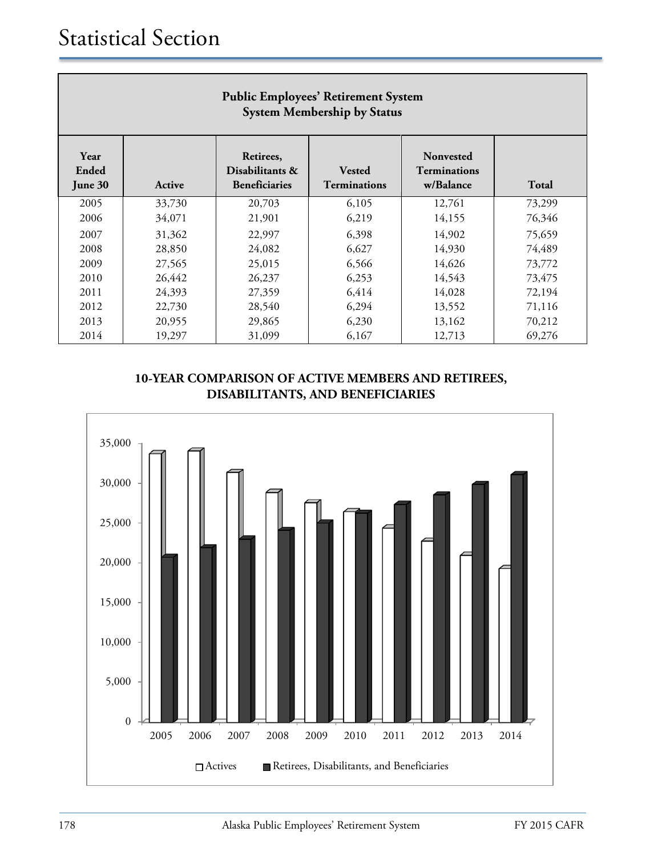| <b>Public Employees' Retirement System</b><br><b>System Membership by Status</b> |        |                                                      |                                      |                                               |        |  |  |
|----------------------------------------------------------------------------------|--------|------------------------------------------------------|--------------------------------------|-----------------------------------------------|--------|--|--|
| Year<br>Ended<br>June 30                                                         | Active | Retirees,<br>Disabilitants &<br><b>Beneficiaries</b> | <b>Vested</b><br><b>Terminations</b> | Nonvested<br><b>Terminations</b><br>w/Balance | Total  |  |  |
| 2005                                                                             | 33,730 | 20,703                                               | 6,105                                | 12,761                                        | 73,299 |  |  |
| 2006                                                                             | 34,071 | 21,901                                               | 6,219                                | 14,155                                        | 76,346 |  |  |
| 2007                                                                             | 31,362 | 22,997                                               | 6,398                                | 14,902                                        | 75,659 |  |  |
| 2008                                                                             | 28,850 | 24,082                                               | 6,627                                | 14,930                                        | 74,489 |  |  |
| 2009                                                                             | 27,565 | 25,015                                               | 6,566                                | 14,626                                        | 73,772 |  |  |
| 2010                                                                             | 26,442 | 26,237                                               | 6,253                                | 14,543                                        | 73,475 |  |  |
| 2011                                                                             | 24,393 | 27,359                                               | 6,414                                | 14,028                                        | 72,194 |  |  |
| 2012                                                                             | 22,730 | 28,540                                               | 6,294                                | 13,552                                        | 71,116 |  |  |
| 2013                                                                             | 20,955 | 29,865                                               | 6,230                                | 13,162                                        | 70,212 |  |  |
| 2014                                                                             | 19,297 | 31,099                                               | 6,167                                | 12,713                                        | 69,276 |  |  |

# **10-YEAR COMPARISON OF ACTIVE MEMBERS AND RETIREES, DISABILITANTS, AND BENEFICIARIES**

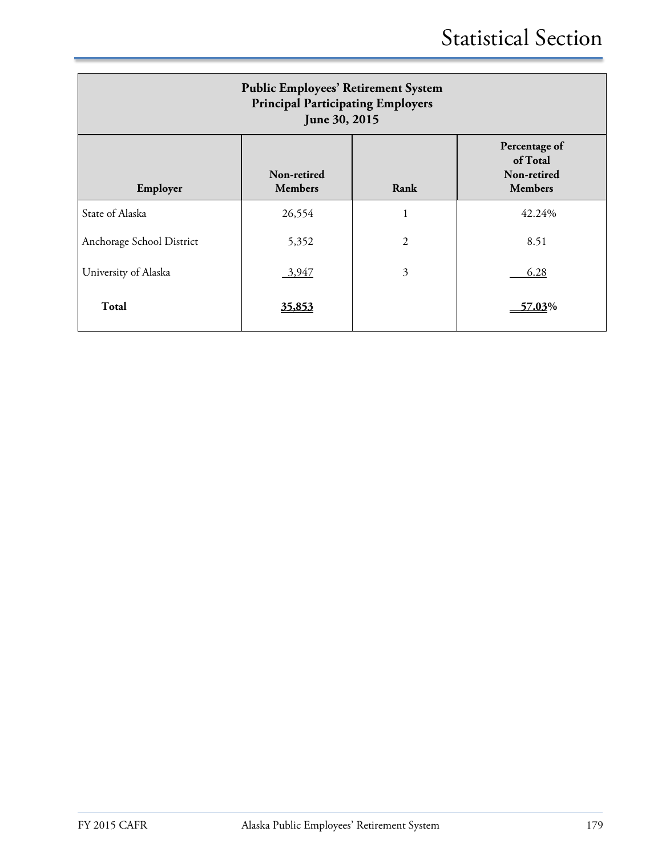| <b>Public Employees' Retirement System</b><br><b>Principal Participating Employers</b><br>June 30, 2015 |                               |                |                                                            |  |  |  |
|---------------------------------------------------------------------------------------------------------|-------------------------------|----------------|------------------------------------------------------------|--|--|--|
| Employer                                                                                                | Non-retired<br><b>Members</b> | Rank           | Percentage of<br>of Total<br>Non-retired<br><b>Members</b> |  |  |  |
| State of Alaska                                                                                         | 26,554                        | 1              | 42.24%                                                     |  |  |  |
| Anchorage School District                                                                               | 5,352                         | $\overline{2}$ | 8.51                                                       |  |  |  |
| University of Alaska                                                                                    | 3,947                         | $\overline{3}$ | 6.28                                                       |  |  |  |
| <b>Total</b>                                                                                            | 35,853                        |                | 57.03%                                                     |  |  |  |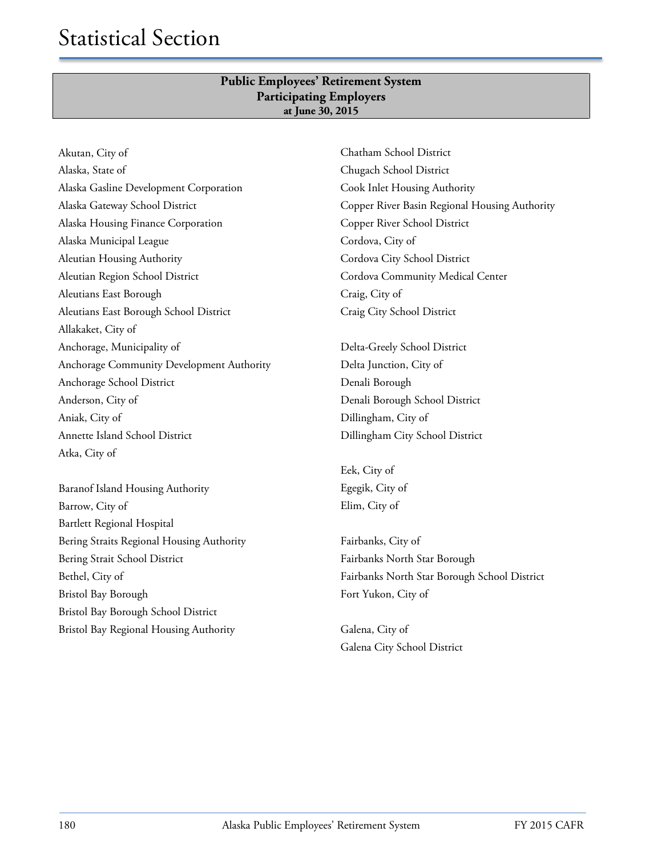## **Public Employees' Retirement System Participating Employers at June 30, 2015**

Akutan, City of Alaska, State of Alaska Gasline Development Corporation Alaska Gateway School District Alaska Housing Finance Corporation Alaska Municipal League Aleutian Housing Authority Aleutian Region School District Aleutians East Borough Aleutians East Borough School District Allakaket, City of Anchorage, Municipality of Anchorage Community Development Authority Anchorage School District Anderson, City of Aniak, City of Annette Island School District Atka, City of

Baranof Island Housing Authority Barrow, City of Bartlett Regional Hospital Bering Straits Regional Housing Authority Bering Strait School District Bethel, City of Bristol Bay Borough Bristol Bay Borough School District Bristol Bay Regional Housing Authority

Chatham School District Chugach School District Cook Inlet Housing Authority Copper River Basin Regional Housing Authority Copper River School District Cordova, City of Cordova City School District Cordova Community Medical Center Craig, City of Craig City School District

Delta-Greely School District Delta Junction, City of Denali Borough Denali Borough School District Dillingham, City of Dillingham City School District

Eek, City of Egegik, City of Elim, City of

Fairbanks, City of Fairbanks North Star Borough Fairbanks North Star Borough School District Fort Yukon, City of

Galena, City of Galena City School District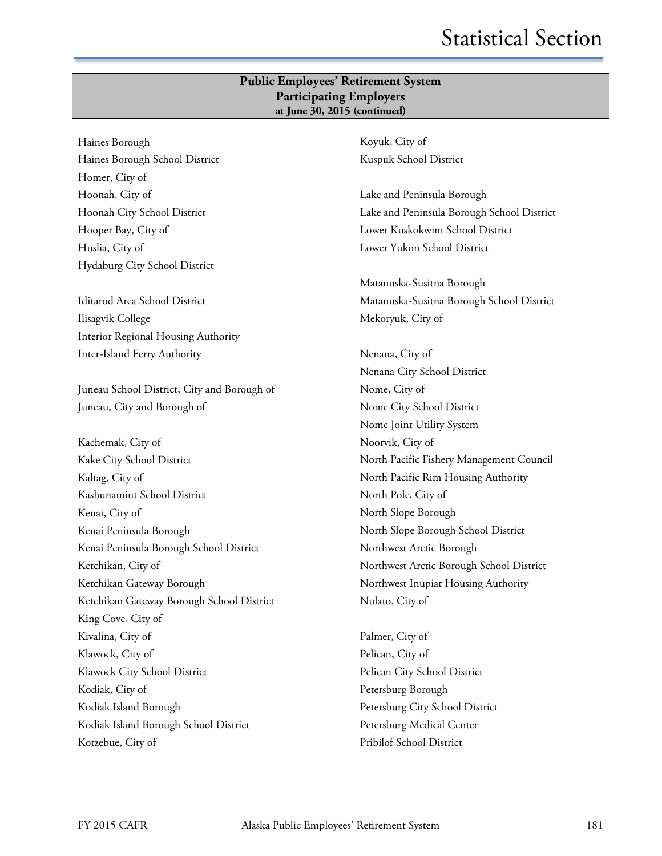#### **Public Employees' Retirement System Participating Employers at June 30, 2015 (continued)**

Haines Borough Haines Borough School District Homer, City of Hoonah, City of Hoonah City School District Hooper Bay, City of Huslia, City of Hydaburg City School District

Iditarod Area School District Ilisagvik College Interior Regional Housing Authority Inter-Island Ferry Authority

Juneau School District, City and Borough of Juneau, City and Borough of

Kachemak, City of Kake City School District Kaltag, City of Kashunamiut School District Kenai, City of Kenai Peninsula Borough Kenai Peninsula Borough School District Ketchikan, City of Ketchikan Gateway Borough Ketchikan Gateway Borough School District King Cove, City of Kivalina, City of Klawock, City of Klawock City School District Kodiak, City of Kodiak Island Borough Kodiak Island Borough School District Kotzebue, City of

Koyuk, City of Kuspuk School District

Lake and Peninsula Borough Lake and Peninsula Borough School District Lower Kuskokwim School District Lower Yukon School District

Matanuska-Susitna Borough Matanuska-Susitna Borough School District Mekoryuk, City of

Nenana, City of Nenana City School District Nome, City of Nome City School District Nome Joint Utility System Noorvik, City of North Pacific Fishery Management Council North Pacific Rim Housing Authority North Pole, City of North Slope Borough North Slope Borough School District Northwest Arctic Borough Northwest Arctic Borough School District Northwest Inupiat Housing Authority Nulato, City of

Palmer, City of Pelican, City of Pelican City School District Petersburg Borough Petersburg City School District Petersburg Medical Center Pribilof School District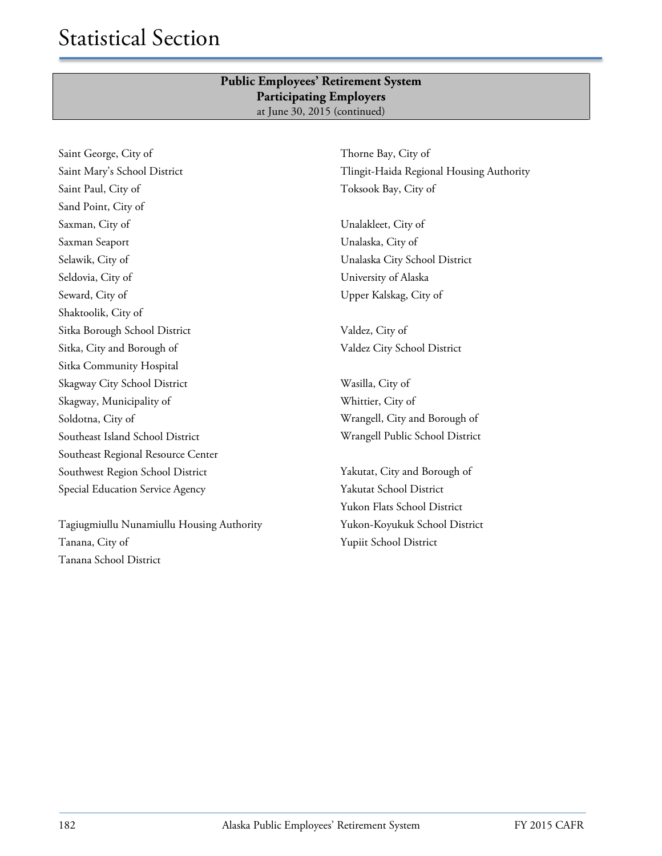## **Public Employees' Retirement System Participating Employers** at June 30, 2015 (continued)

Saint George, City of Saint Mary's School District Saint Paul, City of Sand Point, City of Saxman, City of Saxman Seaport Selawik, City of Seldovia, City of Seward, City of Shaktoolik, City of Sitka Borough School District Sitka, City and Borough of Sitka Community Hospital Skagway City School District Skagway, Municipality of Soldotna, City of Southeast Island School District Southeast Regional Resource Center Southwest Region School District Special Education Service Agency

Tagiugmiullu Nunamiullu Housing Authority Tanana, City of Tanana School District

Thorne Bay, City of Tlingit-Haida Regional Housing Authority Toksook Bay, City of

Unalakleet, City of Unalaska, City of Unalaska City School District University of Alaska Upper Kalskag, City of

Valdez, City of Valdez City School District

Wasilla, City of Whittier, City of Wrangell, City and Borough of Wrangell Public School District

Yakutat, City and Borough of Yakutat School District Yukon Flats School District Yukon-Koyukuk School District Yupiit School District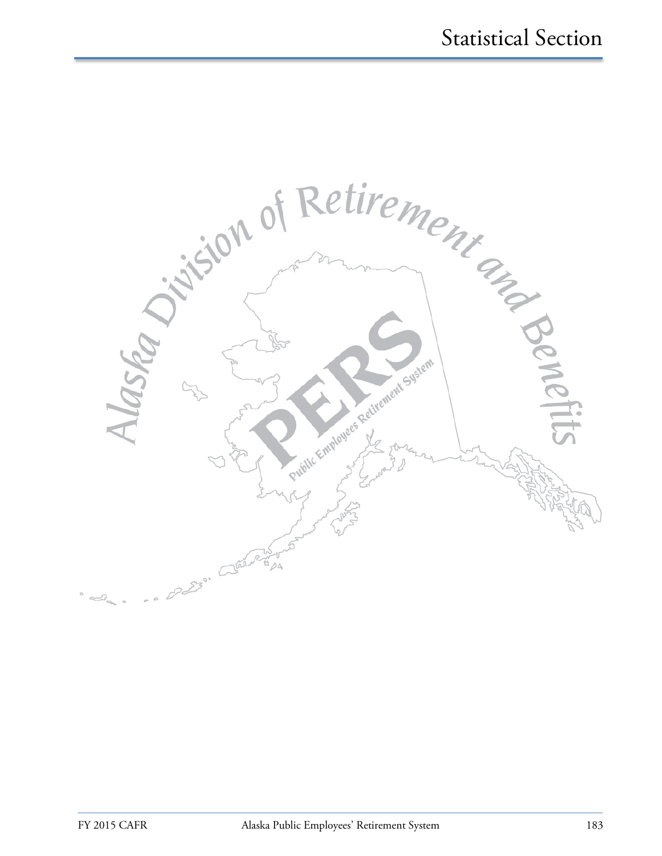